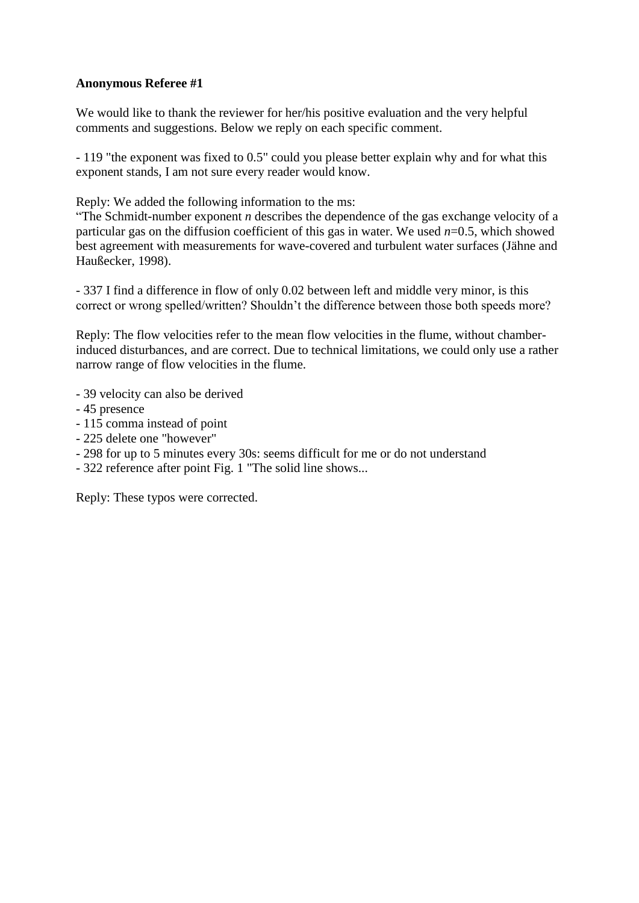## **Anonymous Referee #1**

We would like to thank the reviewer for her/his positive evaluation and the very helpful comments and suggestions. Below we reply on each specific comment.

- 119 "the exponent was fixed to 0.5" could you please better explain why and for what this exponent stands, I am not sure every reader would know.

Reply: We added the following information to the ms:

"The Schmidt-number exponent *n* describes the dependence of the gas exchange velocity of a particular gas on the diffusion coefficient of this gas in water. We used *n*=0.5, which showed best agreement with measurements for wave-covered and turbulent water surfaces (Jähne and Haußecker, 1998).

- 337 I find a difference in flow of only 0.02 between left and middle very minor, is this correct or wrong spelled/written? Shouldn't the difference between those both speeds more?

Reply: The flow velocities refer to the mean flow velocities in the flume, without chamberinduced disturbances, and are correct. Due to technical limitations, we could only use a rather narrow range of flow velocities in the flume.

- 39 velocity can also be derived
- 45 presence
- 115 comma instead of point
- 225 delete one "however"
- 298 for up to 5 minutes every 30s: seems difficult for me or do not understand
- 322 reference after point Fig. 1 "The solid line shows...

Reply: These typos were corrected.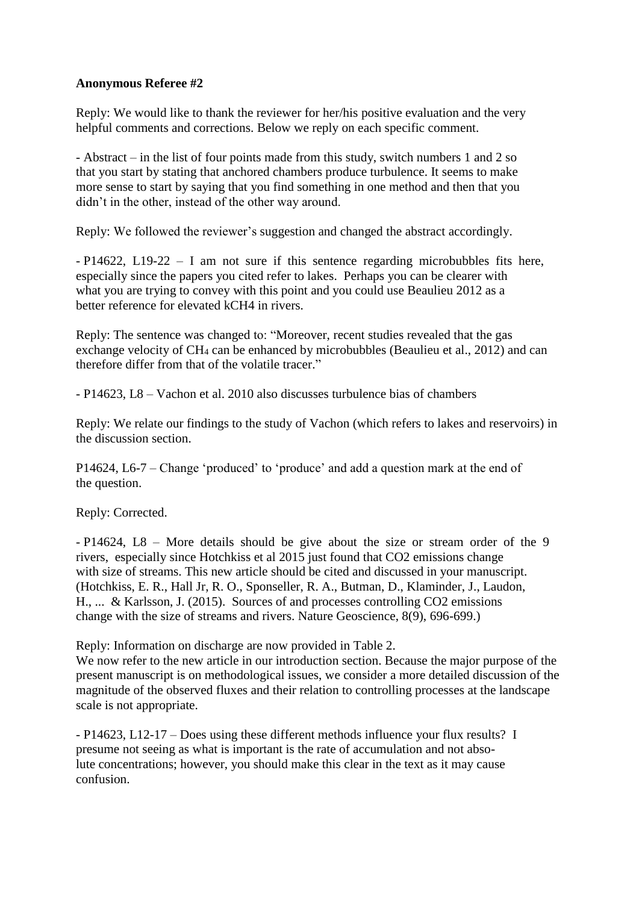## **Anonymous Referee #2**

Reply: We would like to thank the reviewer for her/his positive evaluation and the very helpful comments and corrections. Below we reply on each specific comment.

- Abstract – in the list of four points made from this study, switch numbers 1 and 2 so that you start by stating that anchored chambers produce turbulence. It seems to make more sense to start by saying that you find something in one method and then that you didn't in the other, instead of the other way around.

Reply: We followed the reviewer's suggestion and changed the abstract accordingly.

- P14622, L19-22 – I am not sure if this sentence regarding microbubbles fits here, especially since the papers you cited refer to lakes. Perhaps you can be clearer with what you are trying to convey with this point and you could use Beaulieu 2012 as a better reference for elevated kCH4 in rivers.

Reply: The sentence was changed to: "Moreover, recent studies revealed that the gas exchange velocity of CH<sub>4</sub> can be enhanced by microbubbles (Beaulieu et al., 2012) and can therefore differ from that of the volatile tracer."

- P14623, L8 – Vachon et al. 2010 also discusses turbulence bias of chambers

Reply: We relate our findings to the study of Vachon (which refers to lakes and reservoirs) in the discussion section.

P14624, L6-7 – Change 'produced' to 'produce' and add a question mark at the end of the question.

Reply: Corrected.

- P14624, L8 – More details should be give about the size or stream order of the 9 rivers, especially since Hotchkiss et al 2015 just found that CO2 emissions change with size of streams. This new article should be cited and discussed in your manuscript. (Hotchkiss, E. R., Hall Jr, R. O., Sponseller, R. A., Butman, D., Klaminder, J., Laudon, H., ... & Karlsson, J. (2015). Sources of and processes controlling CO2 emissions change with the size of streams and rivers. Nature Geoscience, 8(9), 696-699.)

Reply: Information on discharge are now provided in Table 2.

We now refer to the new article in our introduction section. Because the major purpose of the present manuscript is on methodological issues, we consider a more detailed discussion of the magnitude of the observed fluxes and their relation to controlling processes at the landscape scale is not appropriate.

- P14623, L12-17 – Does using these different methods influence your flux results? I presume not seeing as what is important is the rate of accumulation and not absolute concentrations; however, you should make this clear in the text as it may cause confusion.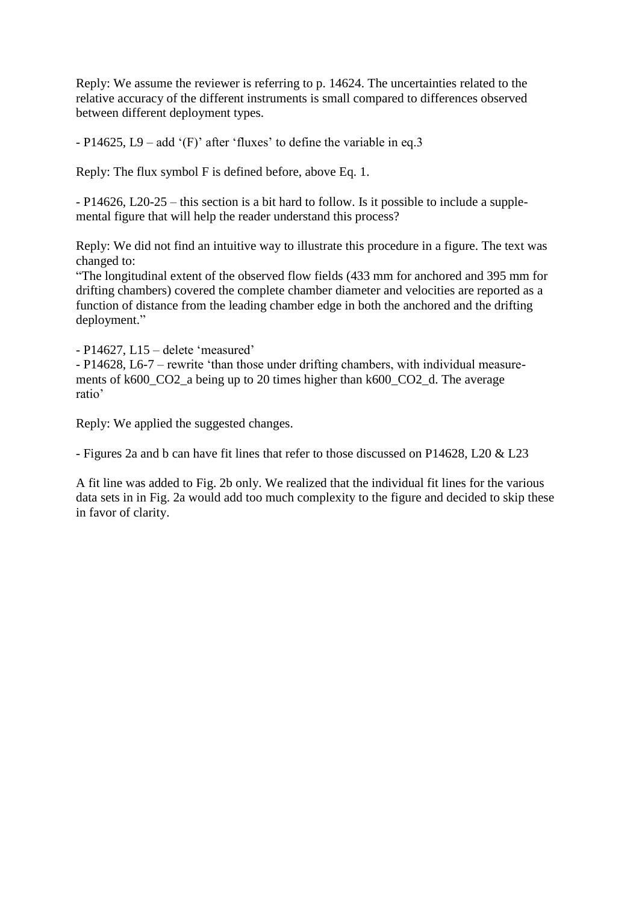Reply: We assume the reviewer is referring to p. 14624. The uncertainties related to the relative accuracy of the different instruments is small compared to differences observed between different deployment types.

- P14625, L9 – add '(F)' after 'fluxes' to define the variable in eq.3

Reply: The flux symbol F is defined before, above Eq. 1.

- P14626, L20-25 – this section is a bit hard to follow. Is it possible to include a supplemental figure that will help the reader understand this process?

Reply: We did not find an intuitive way to illustrate this procedure in a figure. The text was changed to:

"The longitudinal extent of the observed flow fields (433 mm for anchored and 395 mm for drifting chambers) covered the complete chamber diameter and velocities are reported as a function of distance from the leading chamber edge in both the anchored and the drifting deployment."

- P14627, L15 – delete 'measured'

- P14628, L6-7 – rewrite 'than those under drifting chambers, with individual measurements of k600\_CO2\_a being up to 20 times higher than k600\_CO2\_d. The average ratio'

Reply: We applied the suggested changes.

- Figures 2a and b can have fit lines that refer to those discussed on P14628, L20 & L23

A fit line was added to Fig. 2b only. We realized that the individual fit lines for the various data sets in in Fig. 2a would add too much complexity to the figure and decided to skip these in favor of clarity.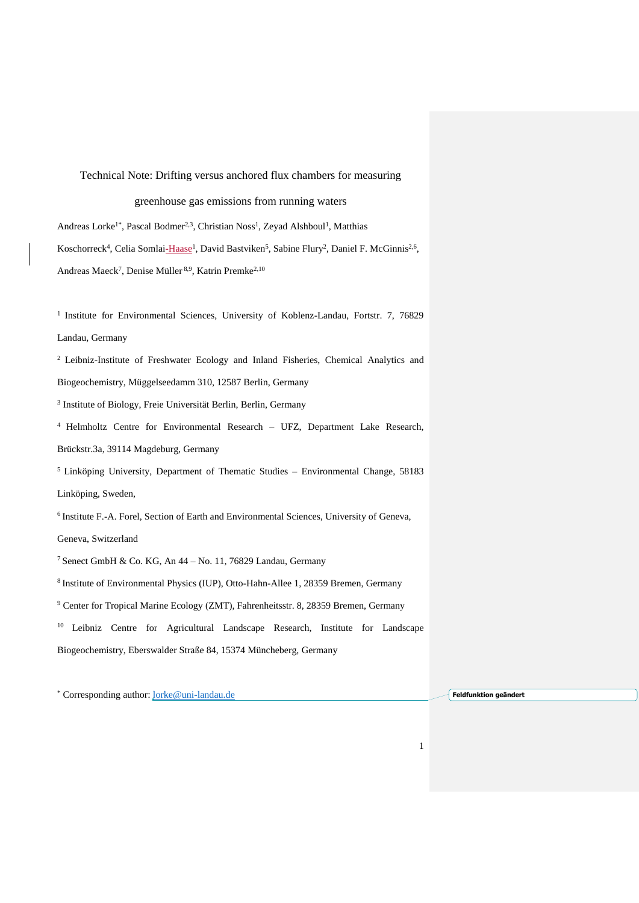Technical Note: Drifting versus anchored flux chambers for measuring greenhouse gas emissions from running waters Andreas Lorke<sup>1\*</sup>, Pascal Bodmer<sup>2,3</sup>, Christian Noss<sup>1</sup>, Zeyad Alshboul<sup>1</sup>, Matthias Koschorreck<sup>4</sup>, Celia Somlai-Haase<sup>1</sup>, David Bastviken<sup>5</sup>, Sabine Flury<sup>2</sup>, Daniel F. McGinnis<sup>2,6</sup>, Andreas Maeck<sup>7</sup>, Denise Müller<sup>8,9</sup>, Katrin Premke<sup>2,10</sup>

<sup>1</sup> Institute for Environmental Sciences, University of Koblenz-Landau, Fortstr. 7, 76829 Landau, Germany

<sup>2</sup> Leibniz-Institute of Freshwater Ecology and Inland Fisheries, Chemical Analytics and Biogeochemistry, Müggelseedamm 310, 12587 Berlin, Germany

3 Institute of Biology, Freie Universität Berlin, Berlin, Germany

<sup>4</sup> Helmholtz Centre for Environmental Research – UFZ, Department Lake Research, Brückstr.3a, 39114 Magdeburg, Germany

<sup>5</sup>Linköping University, Department of Thematic Studies – Environmental Change, 58183 Linköping, Sweden,

<sup>6</sup> Institute F.-A. Forel, Section of Earth and Environmental Sciences, University of Geneva,

Geneva, Switzerland

<sup>7</sup> Senect GmbH & Co. KG, An  $44 -$  No. 11, 76829 Landau, Germany

<sup>8</sup> Institute of Environmental Physics (IUP), Otto-Hahn-Allee 1, 28359 Bremen, Germany

<sup>9</sup> Center for Tropical Marine Ecology (ZMT), Fahrenheitsstr. 8, 28359 Bremen, Germany

<sup>10</sup> Leibniz Centre for Agricultural Landscape Research, Institute for Landscape Biogeochemistry, Eberswalder Straße 84, 15374 Müncheberg, Germany

\* Corresponding author: [lorke@uni-landau.de](mailto:lorke@uni-landau.de) **Feldfunktion geändert**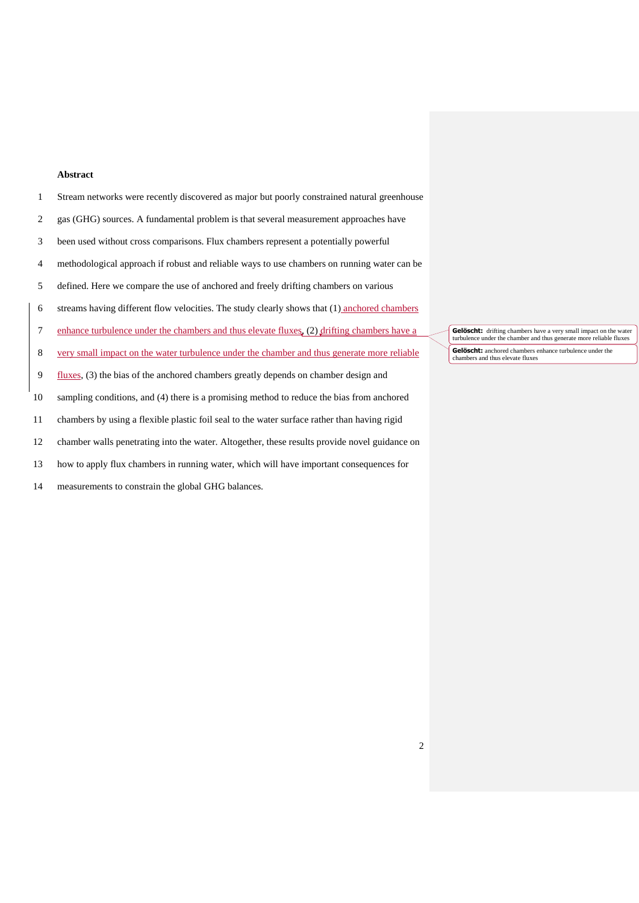### **Abstract**

| 1       | Stream networks were recently discovered as major but poorly constrained natural greenhouse   |
|---------|-----------------------------------------------------------------------------------------------|
| 2       | gas (GHG) sources. A fundamental problem is that several measurement approaches have          |
| 3       | been used without cross comparisons. Flux chambers represent a potentially powerful           |
| 4       | methodological approach if robust and reliable ways to use chambers on running water can be   |
| 5       | defined. Here we compare the use of anchored and freely drifting chambers on various          |
| 6       | streams having different flow velocities. The study clearly shows that (1) anchored chambers  |
| 7       | enhance turbulence under the chambers and thus elevate fluxes, (2) drifting chambers have a   |
| $\,8\,$ | very small impact on the water turbulence under the chamber and thus generate more reliable   |
| 9       | fluxes, $(3)$ the bias of the anchored chambers greatly depends on chamber design and         |
| 10      | sampling conditions, and (4) there is a promising method to reduce the bias from anchored     |
| 11      | chambers by using a flexible plastic foil seal to the water surface rather than having rigid  |
| 12      | chamber walls penetrating into the water. Altogether, these results provide novel guidance on |
| 13      | how to apply flux chambers in running water, which will have important consequences for       |

measurements to constrain the global GHG balances.

**Gelöscht:** drifting chambers have a very small impact on the water turbulence under the chamber and thus generate more reliable fluxes **Gelöscht:** anchored chambers enhance turbulence under the chambers and thus elevate fluxes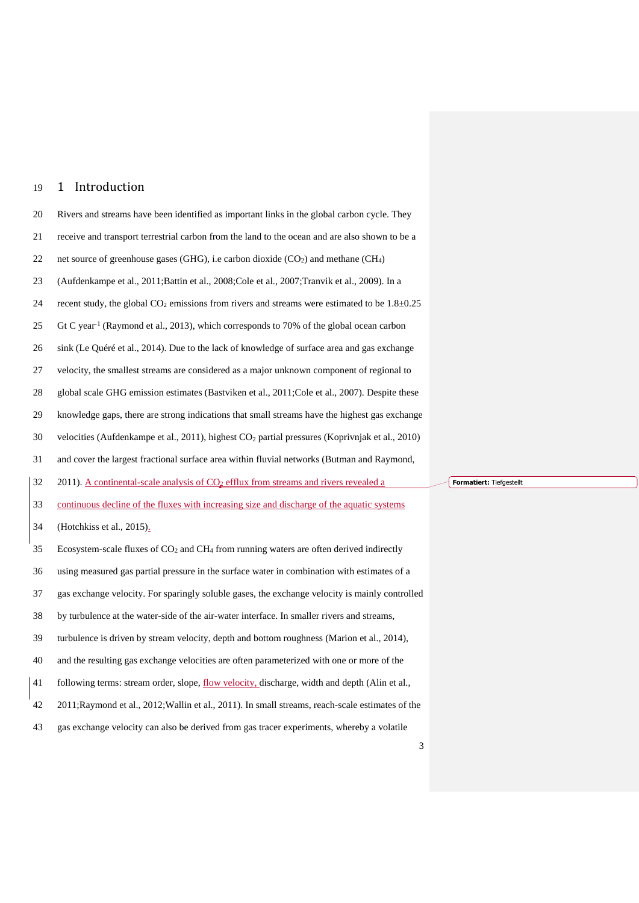# 1 Introduction

| $20\,$ | Rivers and streams have been identified as important links in the global carbon cycle. They                    |  |
|--------|----------------------------------------------------------------------------------------------------------------|--|
| 21     | receive and transport terrestrial carbon from the land to the ocean and are also shown to be a                 |  |
| 22     | net source of greenhouse gases (GHG), i.e carbon dioxide ( $CO2$ ) and methane (CH <sub>4</sub> )              |  |
| 23     | (Aufdenkampe et al., 2011;Battin et al., 2008;Cole et al., 2007;Tranvik et al., 2009). In a                    |  |
| 24     | recent study, the global $CO2$ emissions from rivers and streams were estimated to be $1.8 \pm 0.25$           |  |
| 25     | Gt C year <sup>-1</sup> (Raymond et al., 2013), which corresponds to 70% of the global ocean carbon            |  |
| 26     | sink (Le Quéré et al., 2014). Due to the lack of knowledge of surface area and gas exchange                    |  |
| 27     | velocity, the smallest streams are considered as a major unknown component of regional to                      |  |
| 28     | global scale GHG emission estimates (Bastviken et al., 2011;Cole et al., 2007). Despite these                  |  |
| 29     | knowledge gaps, there are strong indications that small streams have the highest gas exchange                  |  |
| 30     | velocities (Aufdenkampe et al., 2011), highest CO <sub>2</sub> partial pressures (Koprivnjak et al., 2010)     |  |
| 31     | and cover the largest fractional surface area within fluvial networks (Butman and Raymond,                     |  |
|        |                                                                                                                |  |
| 32     | 2011). A continental-scale analysis of CO <sub>2</sub> efflux from streams and rivers revealed a               |  |
| 33     | continuous decline of the fluxes with increasing size and discharge of the aquatic systems                     |  |
| 34     | (Hotchkiss et al., 2015).                                                                                      |  |
| 35     | Ecosystem-scale fluxes of CO <sub>2</sub> and CH <sub>4</sub> from running waters are often derived indirectly |  |
| 36     | using measured gas partial pressure in the surface water in combination with estimates of a                    |  |
| 37     | gas exchange velocity. For sparingly soluble gases, the exchange velocity is mainly controlled                 |  |
| 38     | by turbulence at the water-side of the air-water interface. In smaller rivers and streams,                     |  |
| 39     | turbulence is driven by stream velocity, depth and bottom roughness (Marion et al., 2014),                     |  |
| 40     | and the resulting gas exchange velocities are often parameterized with one or more of the                      |  |
| 41     | following terms: stream order, slope, flow velocity, discharge, width and depth (Alin et al.,                  |  |
| 42     | 2011;Raymond et al., 2012;Wallin et al., 2011). In small streams, reach-scale estimates of the                 |  |

**Formatiert:** Tiefgestellt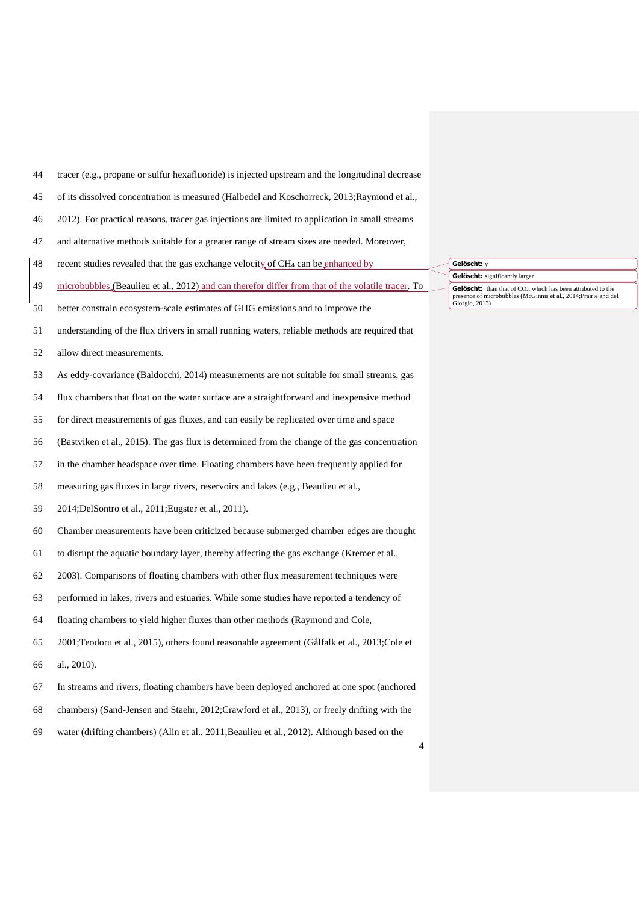- tracer (e.g., propane or sulfur hexafluoride) is injected upstream and the longitudinal decrease
- of its dissolved concentration is measured [\(Halbedel and Koschorreck, 2013](#page-28-6)[;Raymond et al.,](#page-28-5)
- [2012\)](#page-28-5). For practical reasons, tracer gas injections are limited to application in small streams
- and alternative methods suitable for a greater range of stream sizes are needed. Moreover,
- 48 recent studies revealed that the gas exchange velocity of CH<sub>4</sub> can be enhanced by
- 49 microbubbles [\(Beaulieu et al., 2012\)](#page-27-6) and can therefor differ from that of the volatile tracer. To
- better constrain ecosystem-scale estimates of GHG emissions and to improve the
- understanding of the flux drivers in small running waters, reliable methods are required that
- allow direct measurements.
- As eddy-covariance [\(Baldocchi, 2014\)](#page-27-7) measurements are not suitable for small streams, gas
- flux chambers that float on the water surface are a straightforward and inexpensive method
- for direct measurements of gas fluxes, and can easily be replicated over time and space
- [\(Bastviken et al., 2015\)](#page-27-8). The gas flux is determined from the change of the gas concentration
- in the chamber headspace over time. Floating chambers have been frequently applied for
- measuring gas fluxes in large rivers, reservoirs and lakes (e.g.[, Beaulieu et al.,](#page-27-9)
- [2014](#page-27-9)[;DelSontro et al., 2011](#page-27-10)[;Eugster et al., 2011\)](#page-27-11).
- Chamber measurements have been criticized because submerged chamber edges are thought
- to disrupt the aquatic boundary layer, thereby affecting the gas exchange [\(Kremer et al.,](#page-28-7)
- [2003\)](#page-28-7). Comparisons of floating chambers with other flux measurement techniques were
- performed in lakes, rivers and estuaries. While some studies have reported a tendency of
- floating chambers to yield higher fluxes than other methods [\(Raymond and Cole,](#page-28-8)
- [2001](#page-28-8)[;Teodoru et al., 2015\)](#page-29-2), others found reasonable agreement [\(Gålfalk et al., 2013](#page-28-9)[;Cole et](#page-27-12)  [al., 2010\)](#page-27-12).
- In streams and rivers, floating chambers have been deployed anchored at one spot (anchored
- chambers) [\(Sand-Jensen and Staehr, 2012](#page-29-3)[;Crawford et al., 2013\)](#page-27-13), or freely drifting with the
- water (drifting chambers) [\(Alin et al., 2011](#page-27-5)[;Beaulieu et al., 2012\)](#page-27-6). Although based on the

 **Gelöscht:** <sup>y</sup> **Gelöscht:** significantly larger **Gelöscht:** than that of CO<sub>2</sub>, which has been attributed to the presence of microbubbles (McGinnis et al., 2014;Prairie and del  $P$ iesence ca...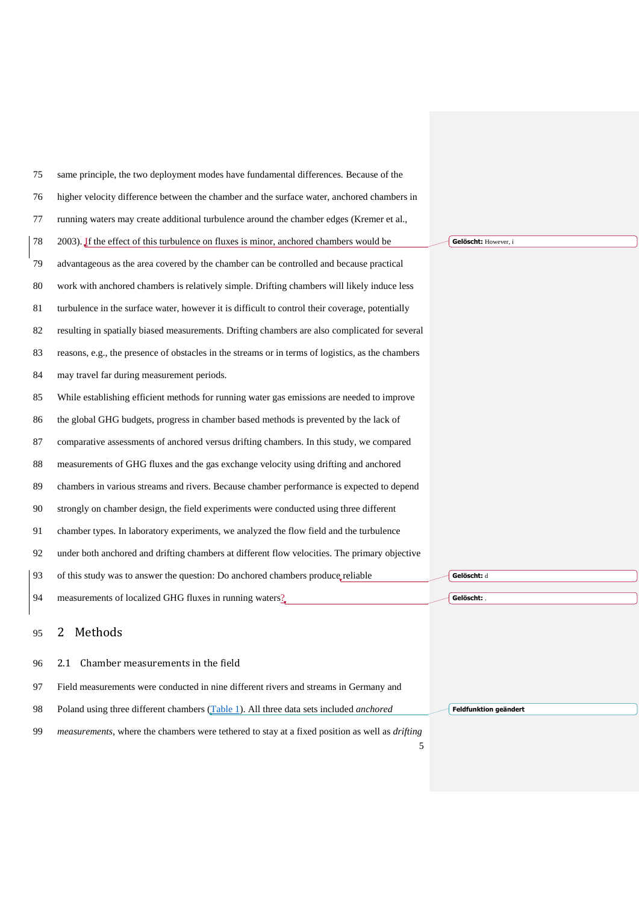| 75 | same principle, the two deployment modes have fundamental differences. Because of the                         |                       |
|----|---------------------------------------------------------------------------------------------------------------|-----------------------|
| 76 | higher velocity difference between the chamber and the surface water, anchored chambers in                    |                       |
| 77 | running waters may create additional turbulence around the chamber edges (Kremer et al.,                      |                       |
| 78 | 2003). If the effect of this turbulence on fluxes is minor, anchored chambers would be                        | Gelöscht: However, i  |
| 79 | advantageous as the area covered by the chamber can be controlled and because practical                       |                       |
| 80 | work with anchored chambers is relatively simple. Drifting chambers will likely induce less                   |                       |
| 81 | turbulence in the surface water, however it is difficult to control their coverage, potentially               |                       |
| 82 | resulting in spatially biased measurements. Drifting chambers are also complicated for several                |                       |
| 83 | reasons, e.g., the presence of obstacles in the streams or in terms of logistics, as the chambers             |                       |
| 84 | may travel far during measurement periods.                                                                    |                       |
| 85 | While establishing efficient methods for running water gas emissions are needed to improve                    |                       |
| 86 | the global GHG budgets, progress in chamber based methods is prevented by the lack of                         |                       |
| 87 | comparative assessments of anchored versus drifting chambers. In this study, we compared                      |                       |
| 88 | measurements of GHG fluxes and the gas exchange velocity using drifting and anchored                          |                       |
| 89 | chambers in various streams and rivers. Because chamber performance is expected to depend                     |                       |
| 90 | strongly on chamber design, the field experiments were conducted using three different                        |                       |
| 91 | chamber types. In laboratory experiments, we analyzed the flow field and the turbulence                       |                       |
| 92 | under both anchored and drifting chambers at different flow velocities. The primary objective                 |                       |
| 93 | of this study was to answer the question: Do anchored chambers produce reliable                               | Gelöscht: d           |
| 94 | measurements of localized GHG fluxes in running waters?                                                       | Gelöscht: .           |
| 95 | Methods<br>2                                                                                                  |                       |
| 96 | Chamber measurements in the field<br>2.1                                                                      |                       |
| 97 | Field measurements were conducted in nine different rivers and streams in Germany and                         |                       |
| 98 | Poland using three different chambers (Table 1). All three data sets included anchored                        | Feldfunktion geändert |
| 99 | <i>measurements</i> , where the chambers were tethered to stay at a fixed position as well as <i>drifting</i> |                       |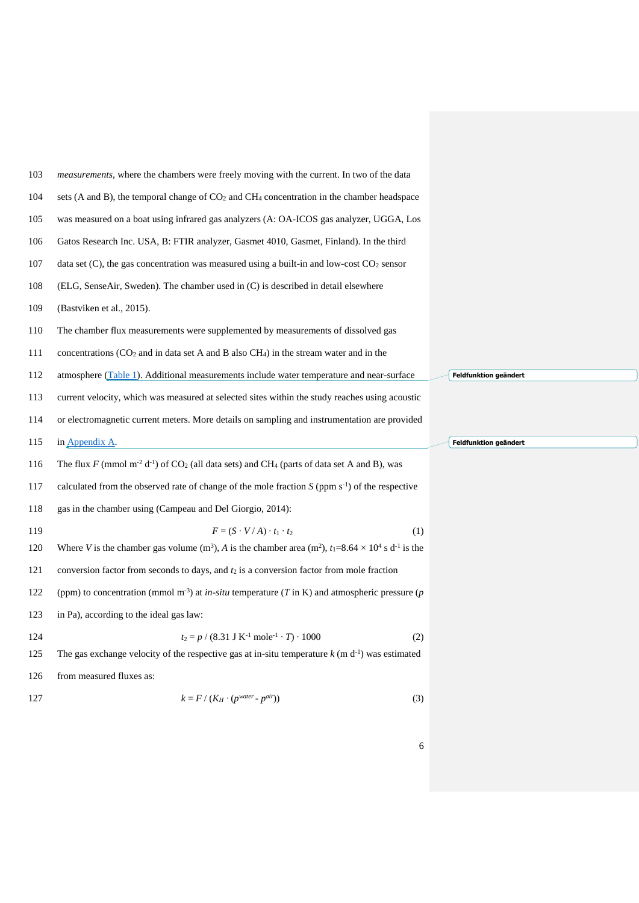| 103 | <i>measurements</i> , where the chambers were freely moving with the current. In two of the data                                            |                       |
|-----|---------------------------------------------------------------------------------------------------------------------------------------------|-----------------------|
| 104 | sets (A and B), the temporal change of $CO2$ and $CH4$ concentration in the chamber headspace                                               |                       |
| 105 | was measured on a boat using infrared gas analyzers (A: OA-ICOS gas analyzer, UGGA, Los                                                     |                       |
| 106 | Gatos Research Inc. USA, B: FTIR analyzer, Gasmet 4010, Gasmet, Finland). In the third                                                      |                       |
| 107 | data set $(C)$ , the gas concentration was measured using a built-in and low-cost $CO2$ sensor                                              |                       |
| 108 | (ELG, SenseAir, Sweden). The chamber used in (C) is described in detail elsewhere                                                           |                       |
| 109 | (Bastviken et al., 2015).                                                                                                                   |                       |
| 110 | The chamber flux measurements were supplemented by measurements of dissolved gas                                                            |                       |
| 111 | concentrations $(CO_2$ and in data set A and B also $CH_4$ ) in the stream water and in the                                                 |                       |
| 112 | atmosphere (Table 1). Additional measurements include water temperature and near-surface                                                    | Feldfunktion geändert |
| 113 | current velocity, which was measured at selected sites within the study reaches using acoustic                                              |                       |
| 114 | or electromagnetic current meters. More details on sampling and instrumentation are provided                                                |                       |
|     |                                                                                                                                             |                       |
| 115 | in Appendix A.                                                                                                                              | Feldfunktion geändert |
| 116 | The flux F (mmol m <sup>-2</sup> d <sup>-1</sup> ) of CO <sub>2</sub> (all data sets) and CH <sub>4</sub> (parts of data set A and B), was  |                       |
| 117 | calculated from the observed rate of change of the mole fraction $S$ (ppm $s^{-1}$ ) of the respective                                      |                       |
| 118 | gas in the chamber using (Campeau and Del Giorgio, 2014):                                                                                   |                       |
| 119 | $F = (S \cdot V/A) \cdot t_1 \cdot t_2$<br>(1)                                                                                              |                       |
| 120 | Where V is the chamber gas volume (m <sup>3</sup> ), A is the chamber area (m <sup>2</sup> ), $t_1=8.64\times10^4$ s d <sup>-1</sup> is the |                       |
| 121 | conversion factor from seconds to days, and $t_2$ is a conversion factor from mole fraction                                                 |                       |
| 122 | (ppm) to concentration (mmol m <sup>-3</sup> ) at <i>in-situ</i> temperature ( <i>T</i> in K) and atmospheric pressure ( <i>p</i>           |                       |
| 123 | in Pa), according to the ideal gas law:                                                                                                     |                       |
| 124 | $t_2 = p / (8.31$ J K <sup>-1</sup> mole <sup>-1</sup> · T) · 1000<br>(2)                                                                   |                       |
| 125 | The gas exchange velocity of the respective gas at in-situ temperature $k$ (m $d^{-1}$ ) was estimated                                      |                       |

$$
k = F / (K_H \cdot (p^{water} - p^{air})) \tag{3}
$$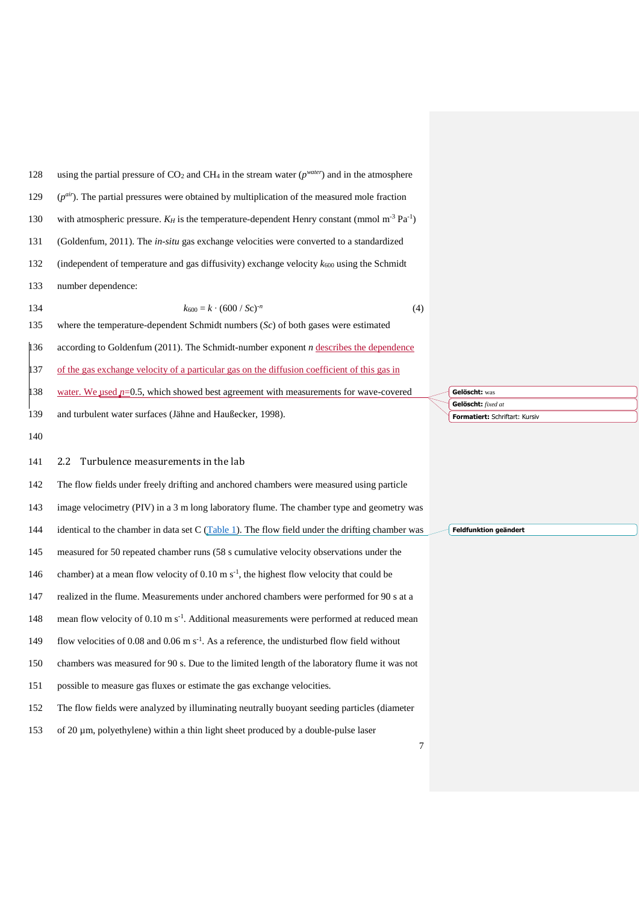| 128 | using the partial pressure of $CO_2$ and CH <sub>4</sub> in the stream water ( $p^{water}$ ) and in the atmosphere    |          |
|-----|-----------------------------------------------------------------------------------------------------------------------|----------|
| 129 | $(p^{air})$ . The partial pressures were obtained by multiplication of the measured mole fraction                     |          |
| 130 | with atmospheric pressure. $K_H$ is the temperature-dependent Henry constant (mmol m <sup>-3</sup> Pa <sup>-1</sup> ) |          |
| 131 | (Goldenfum, 2011). The in-situ gas exchange velocities were converted to a standardized                               |          |
| 132 | (independent of temperature and gas diffusivity) exchange velocity $k_{600}$ using the Schmidt                        |          |
| 133 | number dependence:                                                                                                    |          |
| 134 | $k_{600} = k \cdot (600 / Sc)^{-n}$<br>(4)                                                                            |          |
| 135 | where the temperature-dependent Schmidt numbers $(Sc)$ of both gases were estimated                                   |          |
| 136 | according to Goldenfum $(2011)$ . The Schmidt-number exponent <i>n</i> describes the dependence                       |          |
| 137 | of the gas exchange velocity of a particular gas on the diffusion coefficient of this gas in                          |          |
| 138 | water. We used $p=0.5$ , which showed best agreement with measurements for wave-covered                               | Ge       |
| 139 | and turbulent water surfaces (Jähne and Haußecker, 1998).                                                             | Ge<br>Fo |
| 140 |                                                                                                                       |          |
| 141 | Turbulence measurements in the lab<br>2.2                                                                             |          |
| 142 | The flow fields under freely drifting and anchored chambers were measured using particle                              |          |
| 143 | image velocimetry (PIV) in a 3 m long laboratory flume. The chamber type and geometry was                             |          |
| 144 | identical to the chamber in data set $C$ (Table 1). The flow field under the drifting chamber was                     | Fel      |
| 145 | measured for 50 repeated chamber runs (58 s cumulative velocity observations under the                                |          |
| 146 | chamber) at a mean flow velocity of $0.10 \text{ m s}^{-1}$ , the highest flow velocity that could be                 |          |
| 147 | realized in the flume. Measurements under anchored chambers were performed for 90 s at a                              |          |
| 148 | mean flow velocity of 0.10 m s <sup>-1</sup> . Additional measurements were performed at reduced mean                 |          |
| 149 | flow velocities of 0.08 and 0.06 m $s-1$ . As a reference, the undisturbed flow field without                         |          |
| 150 | chambers was measured for 90 s. Due to the limited length of the laboratory flume it was not                          |          |
| 151 | possible to measure gas fluxes or estimate the gas exchange velocities.                                               |          |
| 152 | The flow fields were analyzed by illuminating neutrally buoyant seeding particles (diameter                           |          |
| 153 | of 20 µm, polyethylene) within a thin light sheet produced by a double-pulse laser                                    |          |

**Elöscht:** was **Gelöscht:** *fixed at*  **Formatiert:** Schriftart: Kursiv

**Feldfunktion geändert**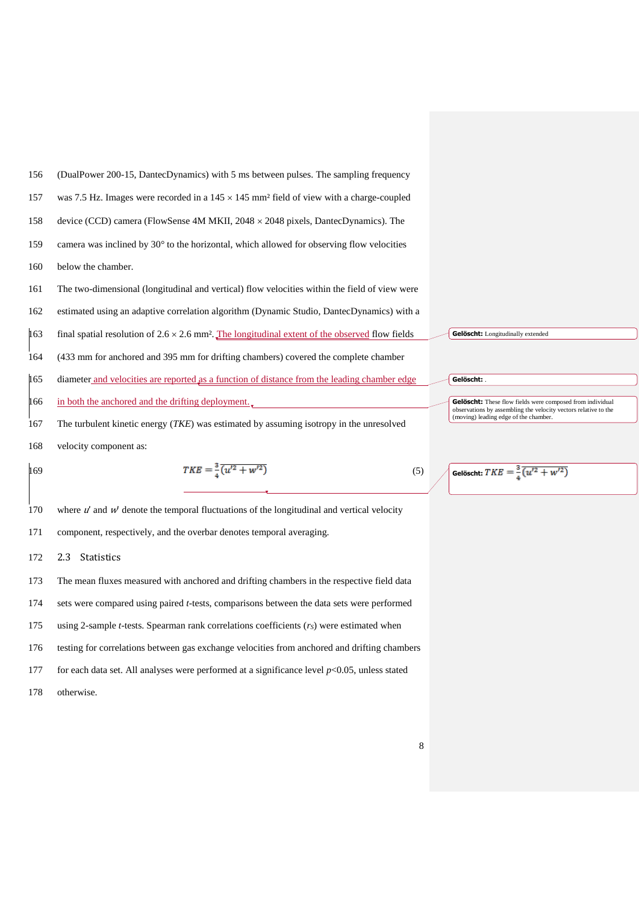

170 where  $u'$  and  $w'$  denote the temporal fluctuations of the longitudinal and vertical velocity

- component, respectively, and the overbar denotes temporal averaging.
- 2.3 Statistics
- The mean fluxes measured with anchored and drifting chambers in the respective field data
- sets were compared using paired *t*-tests, comparisons between the data sets were performed
- using 2-sample *t*-tests. Spearman rank correlations coefficients (*rS*) were estimated when
- testing for correlations between gas exchange velocities from anchored and drifting chambers
- for each data set. All analyses were performed at a significance level *p*<0.05, unless stated
- otherwise.

| Gelöscht: .                                               |
|-----------------------------------------------------------|
|                                                           |
|                                                           |
| Gelöscht: These flow fields were composed from individual |

**Gelöscht:** These flow fields were composed from individual observations by assembling the velocity vectors relative to the (moving) leading edge of the chamber.

Gelöscht:  $TKE = \frac{3}{4} (u'^2 + w'^2)$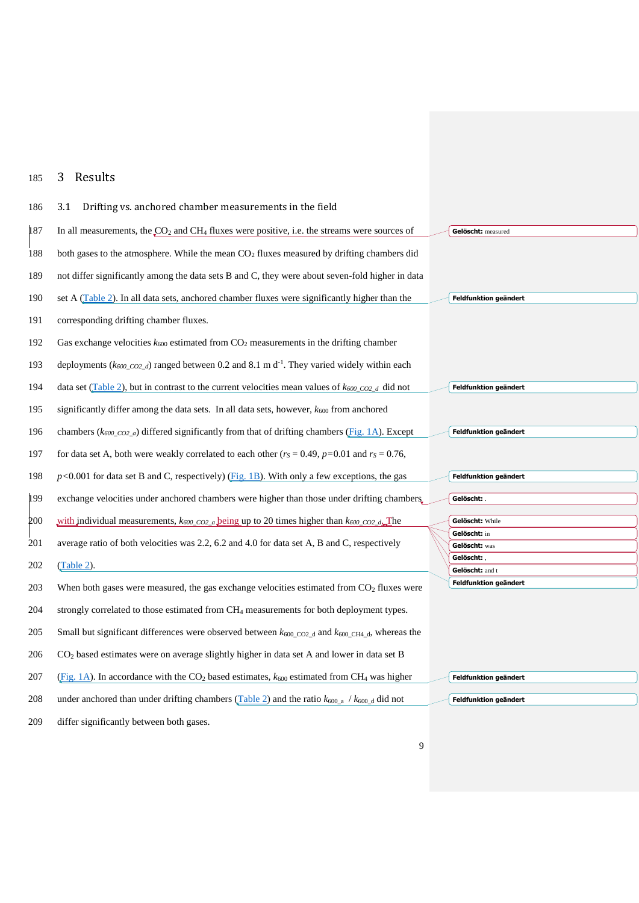# 185 3 Results

| 186 | Drifting vs. anchored chamber measurements in the field<br>3.1                                                                   |                               |
|-----|----------------------------------------------------------------------------------------------------------------------------------|-------------------------------|
| 187 | In all measurements, the $CO2$ and CH <sub>4</sub> fluxes were positive, i.e. the streams were sources of                        | Gelöscht: measured            |
| 188 | both gases to the atmosphere. While the mean CO <sub>2</sub> fluxes measured by drifting chambers did                            |                               |
| 189 | not differ significantly among the data sets B and C, they were about seven-fold higher in data                                  |                               |
| 190 | set A (Table 2). In all data sets, anchored chamber fluxes were significantly higher than the                                    | <b>Feldfunktion geändert</b>  |
| 191 | corresponding drifting chamber fluxes.                                                                                           |                               |
| 192 | Gas exchange velocities $k_{600}$ estimated from $CO2$ measurements in the drifting chamber                                      |                               |
| 193 | deployments ( $k_{600\text{ }CO2\text{ }d}$ ) ranged between 0.2 and 8.1 m d <sup>-1</sup> . They varied widely within each      |                               |
| 194 | data set (Table 2), but in contrast to the current velocities mean values of $k_{600}$ coz d did not                             | Feldfunktion geändert         |
| 195 | significantly differ among the data sets. In all data sets, however, $k_{600}$ from anchored                                     |                               |
| 196 | chambers ( $k_{600}$ co <sub>2</sub> a) differed significantly from that of drifting chambers (Fig. 1A). Except                  | Feldfunktion geändert         |
| 197 | for data set A, both were weakly correlated to each other ( $r_s = 0.49$ , $p=0.01$ and $r_s = 0.76$ ,                           |                               |
| 198 | $p<0.001$ for data set B and C, respectively) (Fig. 1B). With only a few exceptions, the gas                                     | Feldfunktion geändert         |
| 199 | exchange velocities under anchored chambers were higher than those under drifting chambers.                                      | Gelöscht: .                   |
| 200 | with individual measurements, $k_{600\text{ }CO2\text{ }a}$ being up to 20 times higher than $k_{600\text{ }CO2\text{ }d}$ . The | Gelöscht: While               |
| 201 | average ratio of both velocities was 2.2, 6.2 and 4.0 for data set A, B and C, respectively                                      | Gelöscht: in<br>Gelöscht: was |
|     |                                                                                                                                  | Gelöscht:                     |
| 202 | (Table 2).                                                                                                                       | Gelöscht: and t               |
| 203 | When both gases were measured, the gas exchange velocities estimated from CO <sub>2</sub> fluxes were                            | <b>Feldfunktion geändert</b>  |
| 204 | strongly correlated to those estimated from CH <sub>4</sub> measurements for both deployment types.                              |                               |
| 205 | Small but significant differences were observed between $k_{600 \text{ CO2 d}}$ and $k_{600 \text{ CH4 d}}$ , whereas the        |                               |
| 206 | CO <sub>2</sub> based estimates were on average slightly higher in data set A and lower in data set B                            |                               |
| 207 | (Fig. 1A). In accordance with the $CO2$ based estimates, $k_{600}$ estimated from CH <sub>4</sub> was higher                     | Feldfunktion geändert         |
| 208 | under anchored than under drifting chambers (Table 2) and the ratio $k_{600_a}$ / $k_{600_d}$ did not                            | Feldfunktion geändert         |
|     |                                                                                                                                  |                               |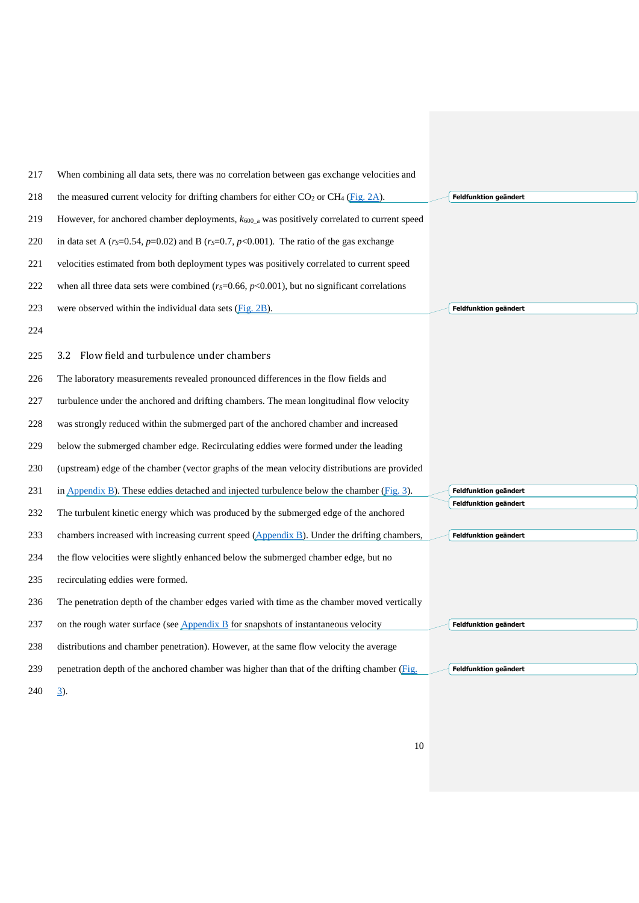| 217 | When combining all data sets, there was no correlation between gas exchange velocities and                   |                       |
|-----|--------------------------------------------------------------------------------------------------------------|-----------------------|
| 218 | the measured current velocity for drifting chambers for either $CO2$ or CH <sub>4</sub> (Fig. 2A).           | Feldfunktion geändert |
| 219 | However, for anchored chamber deployments, $k_{600}$ a was positively correlated to current speed            |                       |
| 220 | in data set A ( $r_s$ =0.54, $p$ =0.02) and B ( $r_s$ =0.7, $p$ <0.001). The ratio of the gas exchange       |                       |
| 221 | velocities estimated from both deployment types was positively correlated to current speed                   |                       |
| 222 | when all three data sets were combined ( $r_s$ =0.66, $p$ <0.001), but no significant correlations           |                       |
| 223 | were observed within the individual data sets (Fig. 2B).                                                     | Feldfunktion geändert |
| 224 |                                                                                                              |                       |
| 225 | Flow field and turbulence under chambers<br>3.2                                                              |                       |
| 226 | The laboratory measurements revealed pronounced differences in the flow fields and                           |                       |
| 227 | turbulence under the anchored and drifting chambers. The mean longitudinal flow velocity                     |                       |
| 228 | was strongly reduced within the submerged part of the anchored chamber and increased                         |                       |
| 229 | below the submerged chamber edge. Recirculating eddies were formed under the leading                         |                       |
| 230 | (upstream) edge of the chamber (vector graphs of the mean velocity distributions are provided                |                       |
| 231 | in $\Delta$ <sub>ppendix</sub> B). These eddies detached and injected turbulence below the chamber (Fig. 3). | Feldfunktion geändert |
| 232 | The turbulent kinetic energy which was produced by the submerged edge of the anchored                        | Feldfunktion geändert |
| 233 | chambers increased with increasing current speed (Appendix B). Under the drifting chambers,                  | Feldfunktion geändert |
| 234 | the flow velocities were slightly enhanced below the submerged chamber edge, but no                          |                       |
| 235 | recirculating eddies were formed.                                                                            |                       |
| 236 | The penetration depth of the chamber edges varied with time as the chamber moved vertically                  |                       |
| 237 | on the rough water surface (see $\Delta$ ppendix $\overline{B}$ for snapshots of instantaneous velocity      | Feldfunktion geändert |
| 238 | distributions and chamber penetration). However, at the same flow velocity the average                       |                       |
| 239 | penetration depth of the anchored chamber was higher than that of the drifting chamber (Fig.                 | Feldfunktion geändert |
| 240 | <u>3</u> ).                                                                                                  |                       |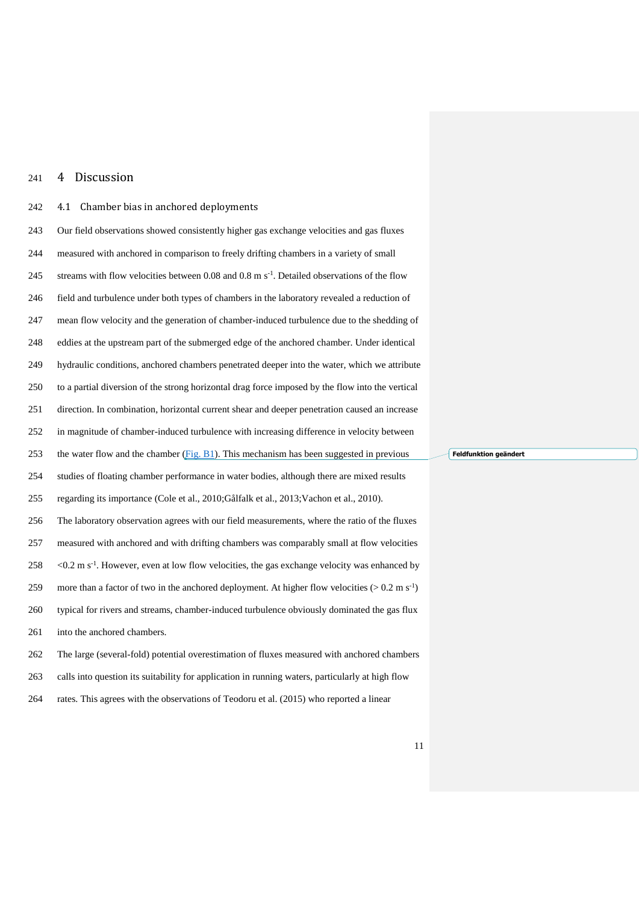## 4 Discussion

## 4.1 Chamber bias in anchored deployments

| 243 | Our field observations showed consistently higher gas exchange velocities and gas fluxes                      |
|-----|---------------------------------------------------------------------------------------------------------------|
| 244 | measured with anchored in comparison to freely drifting chambers in a variety of small                        |
| 245 | streams with flow velocities between 0.08 and 0.8 m s <sup>-1</sup> . Detailed observations of the flow       |
| 246 | field and turbulence under both types of chambers in the laboratory revealed a reduction of                   |
| 247 | mean flow velocity and the generation of chamber-induced turbulence due to the shedding of                    |
| 248 | eddies at the upstream part of the submerged edge of the anchored chamber. Under identical                    |
| 249 | hydraulic conditions, anchored chambers penetrated deeper into the water, which we attribute                  |
| 250 | to a partial diversion of the strong horizontal drag force imposed by the flow into the vertical              |
| 251 | direction. In combination, horizontal current shear and deeper penetration caused an increase                 |
| 252 | in magnitude of chamber-induced turbulence with increasing difference in velocity between                     |
| 253 | the water flow and the chamber $(Fig. B1)$ . This mechanism has been suggested in previous                    |
| 254 | studies of floating chamber performance in water bodies, although there are mixed results                     |
| 255 | regarding its importance (Cole et al., 2010; Gålfalk et al., 2013; Vachon et al., 2010).                      |
| 256 | The laboratory observation agrees with our field measurements, where the ratio of the fluxes                  |
| 257 | measured with anchored and with drifting chambers was comparably small at flow velocities                     |
| 258 | $<$ 0.2 m s <sup>-1</sup> . However, even at low flow velocities, the gas exchange velocity was enhanced by   |
| 259 | more than a factor of two in the anchored deployment. At higher flow velocities ( $> 0.2$ m s <sup>-1</sup> ) |
| 260 | typical for rivers and streams, chamber-induced turbulence obviously dominated the gas flux                   |
| 261 | into the anchored chambers.                                                                                   |
| 262 | The large (several-fold) potential overestimation of fluxes measured with anchored chambers                   |
| 263 | calls into question its suitability for application in running waters, particularly at high flow              |

rates. This agrees with the observations of [Teodoru et al. \(2015\)](#page-29-2) who reported a linear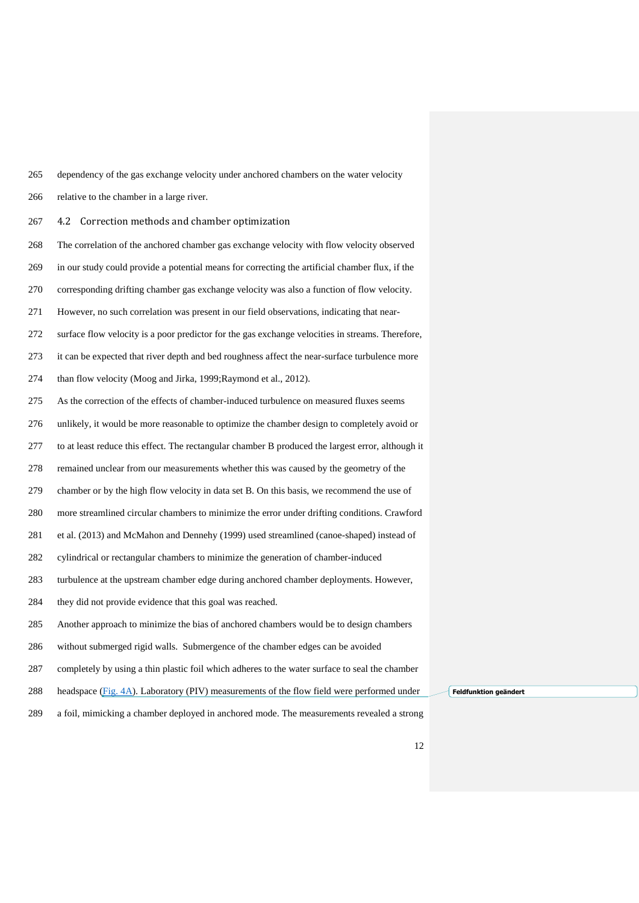- dependency of the gas exchange velocity under anchored chambers on the water velocity
- relative to the chamber in a large river.
- 4.2 Correction methods and chamber optimization
- The correlation of the anchored chamber gas exchange velocity with flow velocity observed
- in our study could provide a potential means for correcting the artificial chamber flux, if the
- corresponding drifting chamber gas exchange velocity was also a function of flow velocity.
- However, no such correlation was present in our field observations, indicating that near-
- surface flow velocity is a poor predictor for the gas exchange velocities in streams. Therefore,
- it can be expected that river depth and bed roughness affect the near-surface turbulence more
- than flow velocity [\(Moog and Jirka, 1999](#page-28-12)[;Raymond et al., 2012\)](#page-28-5).
- As the correction of the effects of chamber-induced turbulence on measured fluxes seems
- unlikely, it would be more reasonable to optimize the chamber design to completely avoid or
- to at least reduce this effect. The rectangular chamber B produced the largest error, although it
- remained unclear from our measurements whether this was caused by the geometry of the
- chamber or by the high flow velocity in data set B. On this basis, we recommend the use of
- more streamlined circular chambers to minimize the error under drifting conditions. [Crawford](#page-27-13)
- et al. (2013) and [McMahon and Dennehy \(1999\)](#page-28-13) used streamlined (canoe-shaped) instead of
- cylindrical or rectangular chambers to minimize the generation of chamber-induced
- turbulence at the upstream chamber edge during anchored chamber deployments. However,
- they did not provide evidence that this goal was reached.
- Another approach to minimize the bias of anchored chambers would be to design chambers
- without submerged rigid walls. Submergence of the chamber edges can be avoided
- completely by using a thin plastic foil which adheres to the water surface to seal the chamber
- 288 headspace [\(Fig. 4A\)](#page-26-0). Laboratory (PIV) measurements of the flow field were performed under
- a foil, mimicking a chamber deployed in anchored mode. The measurements revealed a strong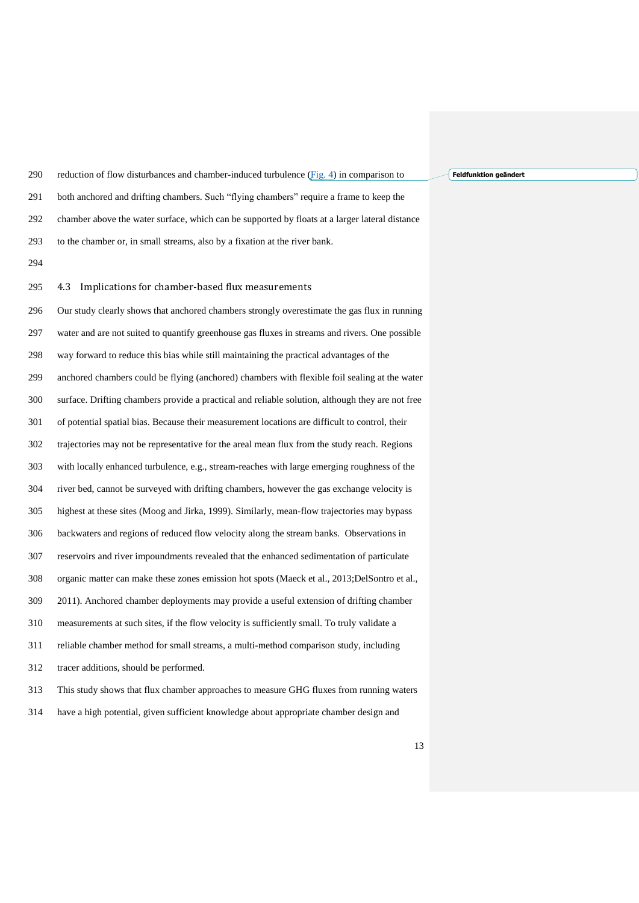reduction of flow disturbances and chamber-induced turbulence [\(Fig. 4\)](#page-26-0) in comparison to both anchored and drifting chambers. Such "flying chambers" require a frame to keep the chamber above the water surface, which can be supported by floats at a larger lateral distance to the chamber or, in small streams, also by a fixation at the river bank.

#### 4.3 Implications for chamber-based flux measurements

 Our study clearly shows that anchored chambers strongly overestimate the gas flux in running water and are not suited to quantify greenhouse gas fluxes in streams and rivers. One possible way forward to reduce this bias while still maintaining the practical advantages of the anchored chambers could be flying (anchored) chambers with flexible foil sealing at the water surface. Drifting chambers provide a practical and reliable solution, although they are not free of potential spatial bias. Because their measurement locations are difficult to control, their trajectories may not be representative for the areal mean flux from the study reach. Regions with locally enhanced turbulence, e.g., stream-reaches with large emerging roughness of the river bed, cannot be surveyed with drifting chambers, however the gas exchange velocity is highest at these sites [\(Moog and Jirka, 1999\)](#page-28-12). Similarly, mean-flow trajectories may bypass backwaters and regions of reduced flow velocity along the stream banks. Observations in reservoirs and river impoundments revealed that the enhanced sedimentation of particulate organic matter can make these zones emission hot spots [\(Maeck et al., 2013](#page-28-14)[;DelSontro et al.,](#page-27-10)  [2011\)](#page-27-10). Anchored chamber deployments may provide a useful extension of drifting chamber measurements at such sites, if the flow velocity is sufficiently small. To truly validate a reliable chamber method for small streams, a multi-method comparison study, including tracer additions, should be performed. This study shows that flux chamber approaches to measure GHG fluxes from running waters

have a high potential, given sufficient knowledge about appropriate chamber design and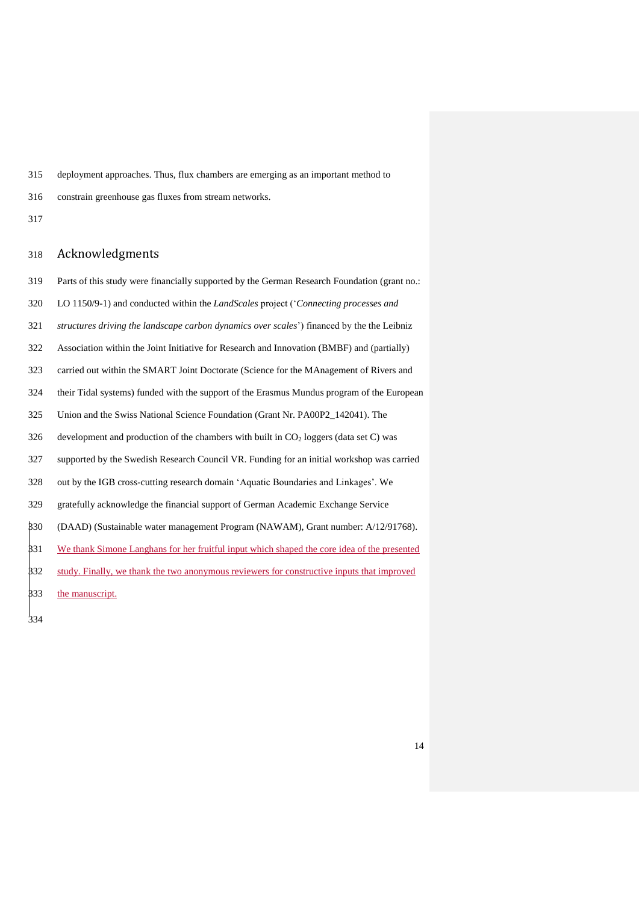deployment approaches. Thus, flux chambers are emerging as an important method to

- constrain greenhouse gas fluxes from stream networks.
- 

### Acknowledgments

- Parts of this study were financially supported by the German Research Foundation (grant no.:
- LO 1150/9-1) and conducted within the *LandScales* project ('*Connecting processes and*
- *structures driving the landscape carbon dynamics over scales*') financed by the the Leibniz
- Association within the Joint Initiative for Research and Innovation (BMBF) and (partially)
- carried out within the SMART Joint Doctorate (Science for the MAnagement of Rivers and
- their Tidal systems) funded with the support of the Erasmus Mundus program of the European
- Union and the Swiss National Science Foundation (Grant Nr. PA00P2\_142041). The
- development and production of the chambers with built in  $CO<sub>2</sub>$  loggers (data set C) was
- supported by the Swedish Research Council VR. Funding for an initial workshop was carried
- out by the IGB cross-cutting research domain 'Aquatic Boundaries and Linkages'. We
- gratefully acknowledge the financial support of German Academic Exchange Service
- (DAAD) (Sustainable water management Program (NAWAM), Grant number: A/12/91768).
- 331 We thank Simone Langhans for her fruitful input which shaped the core idea of the presented
- 332 study. Finally, we thank the two anonymous reviewers for constructive inputs that improved
- the manuscript.
-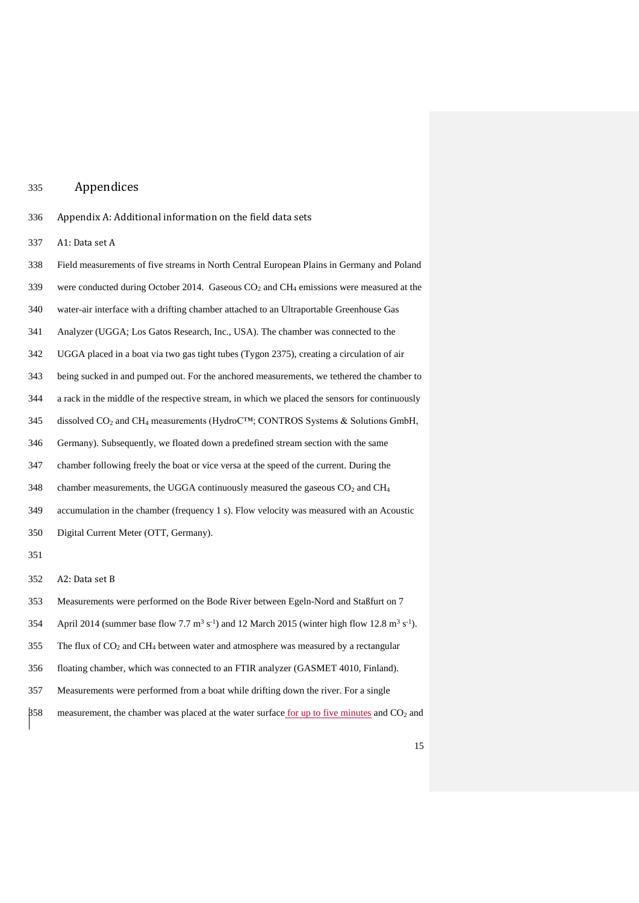### Appendices

- <span id="page-17-0"></span>Appendix A: Additional information on the field data sets
- A1: Data set A
- Field measurements of five streams in North Central European Plains in Germany and Poland
- were conducted during October 2014. Gaseous CO<sup>2</sup> and CH<sup>4</sup> emissions were measured at the
- water-air interface with a drifting chamber attached to an Ultraportable Greenhouse Gas
- Analyzer (UGGA; Los Gatos Research, Inc., USA). The chamber was connected to the
- UGGA placed in a boat via two gas tight tubes (Tygon 2375), creating a circulation of air
- being sucked in and pumped out. For the anchored measurements, we tethered the chamber to
- a rack in the middle of the respective stream, in which we placed the sensors for continuously
- 345 dissolved  $CO_2$  and  $CH_4$  measurements (HydroC<sup>TM</sup>; CONTROS Systems & Solutions GmbH,
- Germany). Subsequently, we floated down a predefined stream section with the same
- chamber following freely the boat or vice versa at the speed of the current. During the
- 348 chamber measurements, the UGGA continuously measured the gaseous  $CO<sub>2</sub>$  and  $CH<sub>4</sub>$
- accumulation in the chamber (frequency 1 s). Flow velocity was measured with an Acoustic
- Digital Current Meter (OTT, Germany).
- 
- A2: Data set B
- Measurements were performed on the Bode River between Egeln-Nord and Staßfurt on 7
- 354 April 2014 (summer base flow 7.7 m<sup>3</sup> s<sup>-1</sup>) and 12 March 2015 (winter high flow 12.8 m<sup>3</sup> s<sup>-1</sup>).
- 355 The flux of  $CO<sub>2</sub>$  and  $CH<sub>4</sub>$  between water and atmosphere was measured by a rectangular
- floating chamber, which was connected to an FTIR analyzer (GASMET 4010, Finland).
- Measurements were performed from a boat while drifting down the river. For a single
- measurement, the chamber was placed at the water surface for up to five minutes and CO<sup>2</sup> and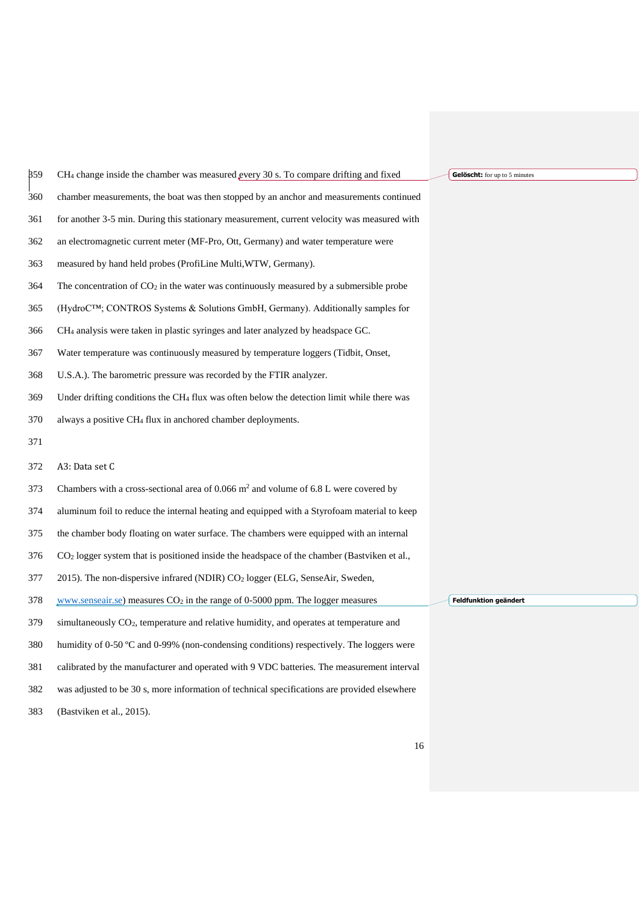| 359 | CH <sub>4</sub> change inside the chamber was measured every 30 s. To compare drifting and fixed   | Gelöscht: for up to 5 minutes |
|-----|----------------------------------------------------------------------------------------------------|-------------------------------|
| 360 | chamber measurements, the boat was then stopped by an anchor and measurements continued            |                               |
| 361 | for another 3-5 min. During this stationary measurement, current velocity was measured with        |                               |
| 362 | an electromagnetic current meter (MF-Pro, Ott, Germany) and water temperature were                 |                               |
| 363 | measured by hand held probes (ProfiLine Multi, WTW, Germany).                                      |                               |
| 364 | The concentration of $CO_2$ in the water was continuously measured by a submersible probe          |                               |
| 365 | (HydroC <sup>TM</sup> ; CONTROS Systems & Solutions GmbH, Germany). Additionally samples for       |                               |
| 366 | CH <sub>4</sub> analysis were taken in plastic syringes and later analyzed by headspace GC.        |                               |
| 367 | Water temperature was continuously measured by temperature loggers (Tidbit, Onset,                 |                               |
| 368 | U.S.A.). The barometric pressure was recorded by the FTIR analyzer.                                |                               |
| 369 | Under drifting conditions the $CH_4$ flux was often below the detection limit while there was      |                               |
| 370 | always a positive CH <sub>4</sub> flux in anchored chamber deployments.                            |                               |
| 371 |                                                                                                    |                               |
| 372 | A3: Data set C                                                                                     |                               |
| 373 | Chambers with a cross-sectional area of $0.066$ m <sup>2</sup> and volume of 6.8 L were covered by |                               |
| 374 | aluminum foil to reduce the internal heating and equipped with a Styrofoam material to keep        |                               |
| 375 | the chamber body floating on water surface. The chambers were equipped with an internal            |                               |
| 376 | $CO2$ logger system that is positioned inside the headspace of the chamber (Bastyiken et al.,      |                               |
| 377 | 2015). The non-dispersive infrared (NDIR) CO <sub>2</sub> logger (ELG, SenseAir, Sweden,           |                               |
| 378 | www.senseair.se) measures $CO2$ in the range of 0-5000 ppm. The logger measures                    | Feldfunktion geändert         |
| 379 | simultaneously $CO2$ , temperature and relative humidity, and operates at temperature and          |                               |
| 380 | humidity of 0-50 $^{\circ}$ C and 0-99% (non-condensing conditions) respectively. The loggers were |                               |
| 381 | calibrated by the manufacturer and operated with 9 VDC batteries. The measurement interval         |                               |
| 382 | was adjusted to be 30 s, more information of technical specifications are provided elsewhere       |                               |
| 383 | (Bastviken et al., 2015).                                                                          |                               |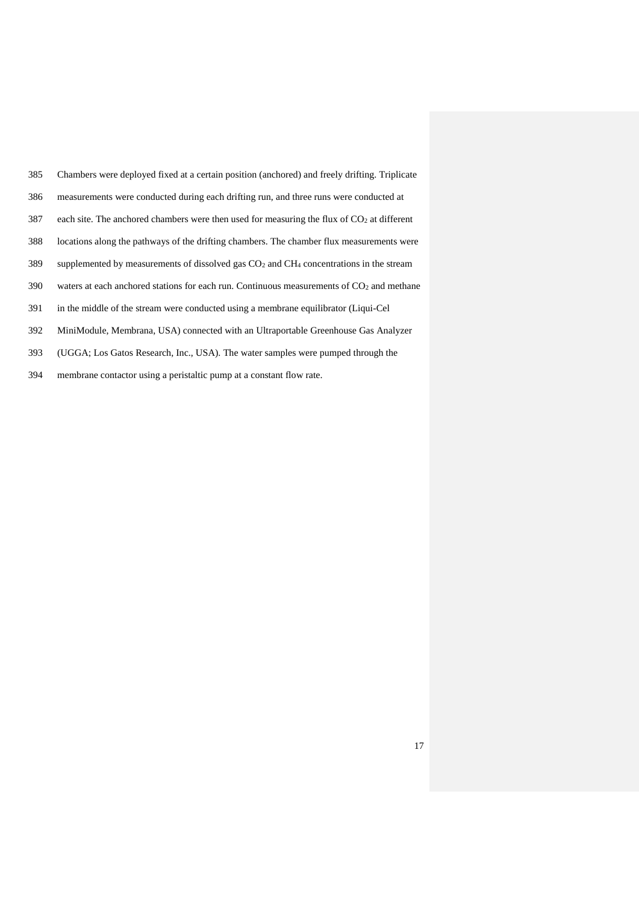| 385 | Chambers were deployed fixed at a certain position (anchored) and freely drifting. Triplicate |
|-----|-----------------------------------------------------------------------------------------------|
| 386 | measurements were conducted during each drifting run, and three runs were conducted at        |
| 387 | each site. The anchored chambers were then used for measuring the flux of $CO2$ at different  |
| 388 | locations along the pathways of the drifting chambers. The chamber flux measurements were     |
| 389 | supplemented by measurements of dissolved gas $CO2$ and $CH4$ concentrations in the stream    |
| 390 | waters at each anchored stations for each run. Continuous measurements of $CO2$ and methane   |
| 391 | in the middle of the stream were conducted using a membrane equilibrator (Liqui-Cel           |
| 392 | MiniModule, Membrana, USA) connected with an Ultraportable Greenhouse Gas Analyzer            |
| 393 | (UGGA; Los Gatos Research, Inc., USA). The water samples were pumped through the              |

membrane contactor using a peristaltic pump at a constant flow rate.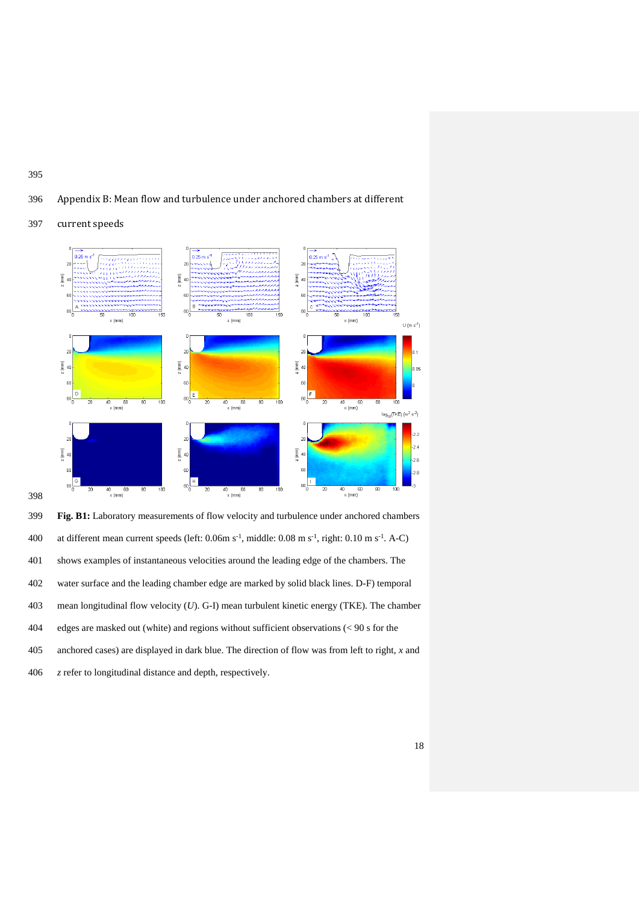<span id="page-20-0"></span>





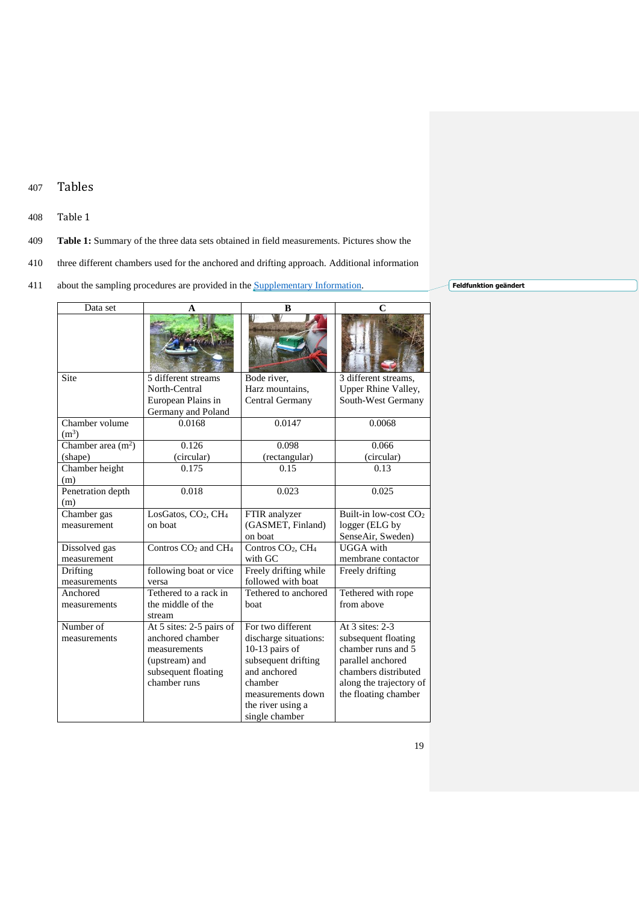## 407 Tables

#### <span id="page-21-0"></span>408 Table 1

- 409 **Table 1:** Summary of the three data sets obtained in field measurements. Pictures show the
- 410 three different chambers used for the anchored and drifting approach. Additional information
- 411 about the sampling procedures are provided in the [Supplementary Information.](#page-17-0)

| Data set            |                                             | B                                         |                                   |
|---------------------|---------------------------------------------|-------------------------------------------|-----------------------------------|
|                     |                                             |                                           |                                   |
| Site                | 5 different streams                         | Bode river,                               | 3 different streams,              |
|                     | North-Central                               | Harz mountains,                           | Upper Rhine Valley,               |
|                     | European Plains in                          | Central Germany                           | South-West Germany                |
|                     | Germany and Poland                          |                                           |                                   |
| Chamber volume      | 0.0168                                      | 0.0147                                    | 0.0068                            |
| (m <sup>3</sup> )   |                                             |                                           |                                   |
| Chamber area $(m2)$ | 0.126                                       | 0.098                                     | 0.066                             |
| (shape)             | (circular)                                  | (rectangular)                             | (circular)                        |
| Chamber height      | 0.175                                       | 0.15                                      | 0.13                              |
| (m)                 |                                             |                                           |                                   |
| Penetration depth   | 0.018                                       | 0.023                                     | 0.025                             |
| (m)                 |                                             |                                           |                                   |
| Chamber gas         | LosGatos, CO <sub>2</sub> , CH <sub>4</sub> | FTIR analyzer                             | Built-in low-cost CO <sub>2</sub> |
| measurement         | on boat                                     | (GASMET, Finland)                         | logger (ELG by                    |
|                     |                                             | on boat                                   | SenseAir, Sweden)                 |
| Dissolved gas       | Contros CO <sub>2</sub> and CH <sub>4</sub> | Contros CO <sub>2</sub> , CH <sub>4</sub> | <b>UGGA</b> with                  |
| measurement         |                                             | with GC                                   | membrane contactor                |
| Drifting            | following boat or vice                      | Freely drifting while                     | Freely drifting                   |
| measurements        | versa                                       | followed with boat                        |                                   |
| Anchored            | Tethered to a rack in                       | Tethered to anchored                      | Tethered with rope                |
| measurements        | the middle of the                           | boat                                      | from above                        |
|                     | stream                                      |                                           |                                   |
| Number of           | At 5 sites: 2-5 pairs of                    | For two different                         | At 3 sites: 2-3                   |
| measurements        | anchored chamber                            | discharge situations:                     | subsequent floating               |
|                     | measurements                                | 10-13 pairs of                            | chamber runs and 5                |
|                     | (upstream) and                              | subsequent drifting                       | parallel anchored                 |
|                     | subsequent floating                         | and anchored                              | chambers distributed              |
|                     | chamber runs                                | chamber                                   | along the trajectory of           |
|                     |                                             | measurements down                         | the floating chamber              |
|                     |                                             | the river using a                         |                                   |
|                     |                                             | single chamber                            |                                   |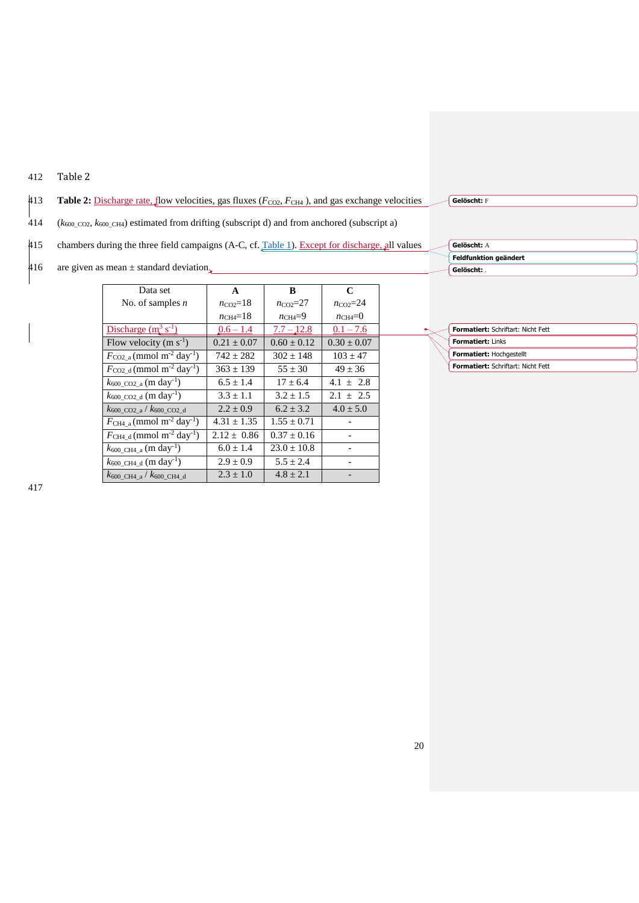## <span id="page-22-0"></span>412 Table 2

#### 413 **Table 2:** Discharge rate, flow velocities, gas fluxes ( $F_{CO2}$ ,  $F_{CH4}$ ), and gas exchange velocities  $\frac{1}{414}$  (*k*<sub>600\_CO2</sub>, *k*<sub>600\_CH4</sub>) estimated from drifting (subscript d) and from anchored (subscript a) 415 chambers during the three field campaigns (A-C, cf. [Table 1\)](#page-21-0). Except for discharge, all values 416 are given as mean  $\pm$  standard deviation. 418 **Gelöscht:** <sup>F</sup> **Feldfunktion geändert Gelöscht: A** 420 **Gelöscht:** .

| Data set                                                     | A                     | B                  | C                  |
|--------------------------------------------------------------|-----------------------|--------------------|--------------------|
| No. of samples $n$                                           | $n_{\rm CO2}$ =18     | $n_{\rm CO2} = 27$ | $n_{\rm CO2} = 24$ |
|                                                              | $n_{\text{CH4}} = 18$ | $n_{\text{CH4}}=9$ | $n_{\text{CH4}}=0$ |
| Discharge $(m^3 s^{-1})$                                     | $0.6 - 1.4$           | $7.7 - 12.8$       | $0.1 - 7.6$        |
| Flow velocity $(m s-1)$                                      | $0.21 \pm 0.07$       | $0.60 \pm 0.12$    | $0.30 \pm 0.07$    |
| $F_{\rm CO2_a}$ (mmol m <sup>-2</sup> day <sup>-1</sup> )    | $742 + 282$           | $302 + 148$        | $103 \pm 47$       |
| $F_{\rm CO2~d}$ (mmol m <sup>-2</sup> day <sup>-1</sup> )    | $363 \pm 139$         | $55 \pm 30$        | $49 \pm 36$        |
| $k_{600\text{ }CO2\text{ }a}\text{ (m day-1)}$               | $6.5 \pm 1.4$         | $17 + 6.4$         | $4.1 + 2.8$        |
| $k_{600\text{ }CO2\text{ }d}$ (m day <sup>-1</sup> )         | $3.3 \pm 1.1$         | $3.2 + 1.5$        | $2.1 + 2.5$        |
| $k_{600}$ CO <sub>2</sub> a / $k_{600}$ CO <sub>2</sub> d    | $2.2 + 0.9$           | $6.2 + 3.2$        | $4.0 \pm 5.0$      |
| $F_{\text{CH4}_a}$ (mmol m <sup>-2</sup> day <sup>-1</sup> ) | $4.31 \pm 1.35$       | $1.55 \pm 0.71$    |                    |
| $F_{\text{CH4}_d}$ (mmol m <sup>-2</sup> day <sup>-1</sup> ) | $2.12 + 0.86$         | $0.37 + 0.16$      |                    |
| $k_{600\text{ }CH4\text{ }a}\text{ (m day-1)}$               | $6.0 \pm 1.4$         | $23.0 \pm 10.8$    |                    |
| $k_{600\_\text{CH4-d}}$ (m day <sup>-1</sup> )               | $2.9 \pm 0.9$         | $5.5 \pm 2.4$      |                    |
| $k_{600}$ CH4 a $k_{600}$ CH4 d                              | $2.3 + 1.0$           | $4.8 + 2.1$        |                    |

| <b>Formatiert: Schriftart: Nicht Fett</b> |  |  |
|-------------------------------------------|--|--|
| <b>Formatiert: Links</b>                  |  |  |
| Formatiert: Hochgestellt                  |  |  |
| <b>Formatiert: Schriftart: Nicht Fett</b> |  |  |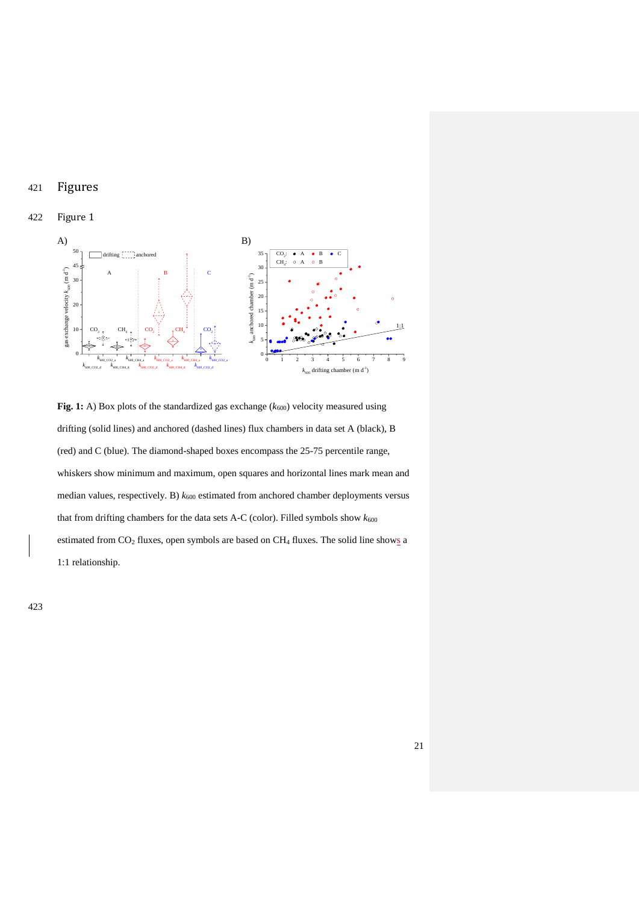## 421 Figures

### 422 Figure 1

<span id="page-23-0"></span>

**Fig. 1:** A) Box plots of the standardized gas exchange ( $k_{600}$ ) velocity measured using drifting (solid lines) and anchored (dashed lines) flux chambers in data set A (black), B (red) and C (blue). The diamond-shaped boxes encompass the 25-75 percentile range, whiskers show minimum and maximum, open squares and horizontal lines mark mean and median values, respectively. B)  $k_{600}$  estimated from anchored chamber deployments versus that from drifting chambers for the data sets A-C (color). Filled symbols show  $k_{600}$ estimated from  $CO_2$  fluxes, open symbols are based on  $CH_4$  fluxes. The solid line shows a 1:1 relationship.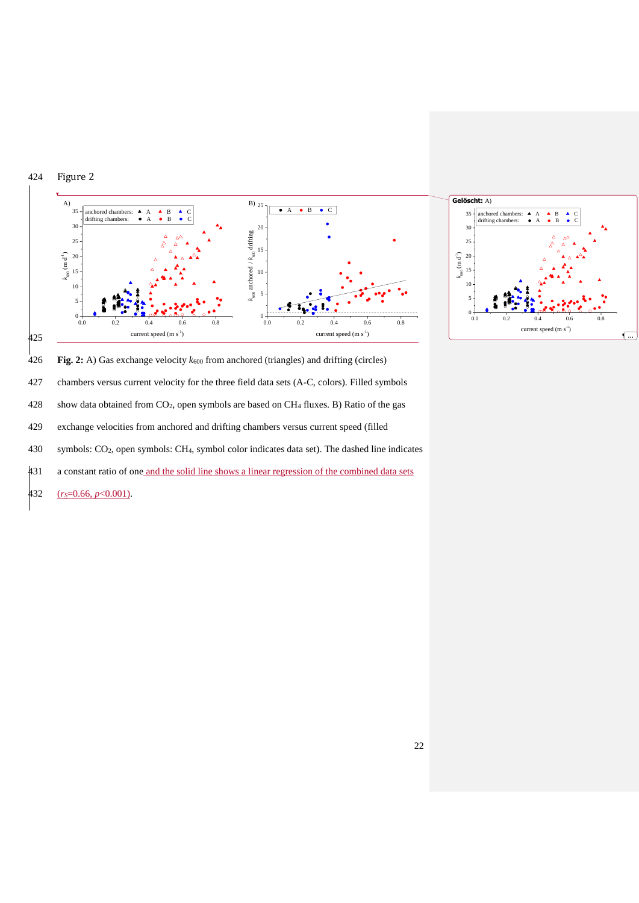<span id="page-24-0"></span>

**Fig. 2:** A) Gas exchange velocity *k*<sup>600</sup> from anchored (triangles) and drifting (circles)

chambers versus current velocity for the three field data sets (A-C, colors). Filled symbols

show data obtained from CO2, open symbols are based on CH<sup>4</sup> fluxes. B) Ratio of the gas

exchange velocities from anchored and drifting chambers versus current speed (filled

symbols: CO2, open symbols: CH4, symbol color indicates data set). The dashed line indicates

a constant ratio of one and the solid line shows a linear regression of the combined data sets

(*rS*=0.66, *p*<0.001).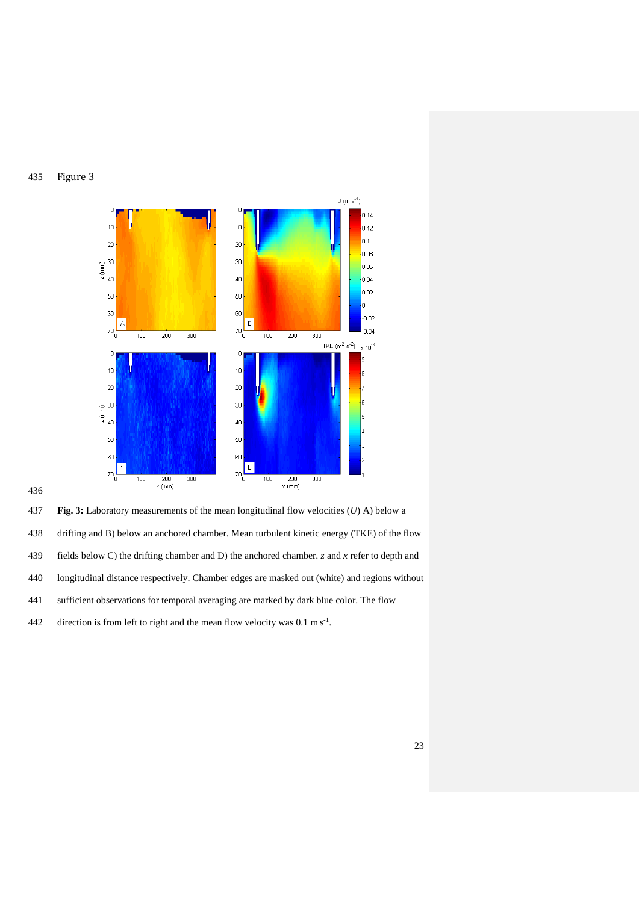### <span id="page-25-0"></span>Figure 3



**Fig. 3:** Laboratory measurements of the mean longitudinal flow velocities (*U*) A) below a

drifting and B) below an anchored chamber. Mean turbulent kinetic energy (TKE) of the flow

- fields below C) the drifting chamber and D) the anchored chamber. *z* and *x* refer to depth and
- longitudinal distance respectively. Chamber edges are masked out (white) and regions without
- sufficient observations for temporal averaging are marked by dark blue color. The flow
- 442 direction is from left to right and the mean flow velocity was  $0.1 \text{ m s}^{-1}$ .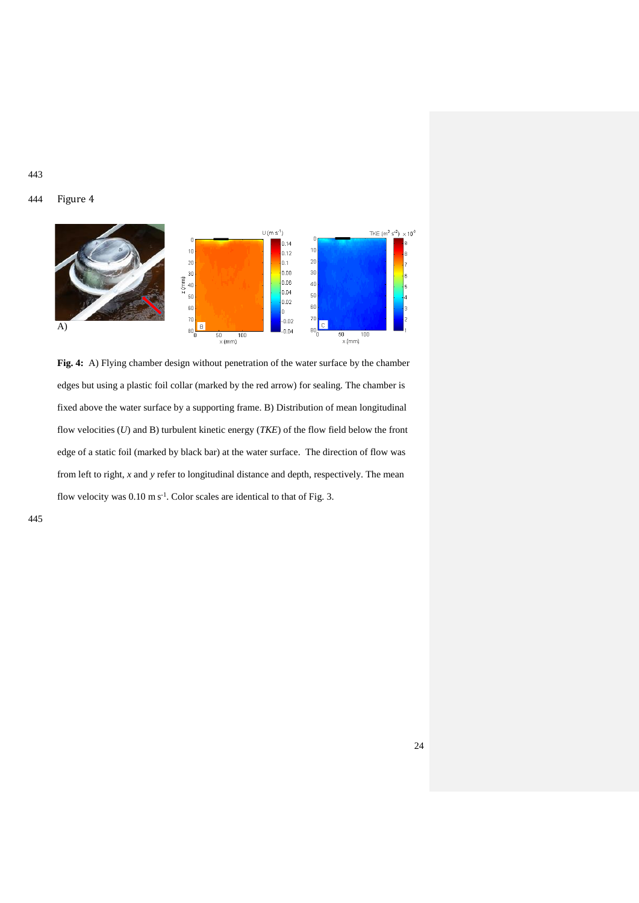443

#### <span id="page-26-0"></span>444 Figure 4



**Fig. 4:** A) Flying chamber design without penetration of the water surface by the chamber edges but using a plastic foil collar (marked by the red arrow) for sealing. The chamber is fixed above the water surface by a supporting frame. B) Distribution of mean longitudinal flow velocities (*U*) and B) turbulent kinetic energy (*TKE*) of the flow field below the front edge of a static foil (marked by black bar) at the water surface. The direction of flow was from left to right, *x* and *y* refer to longitudinal distance and depth, respectively. The mean flow velocity was  $0.10 \text{ m s}^{-1}$ . Color scales are identical to that of Fig. 3.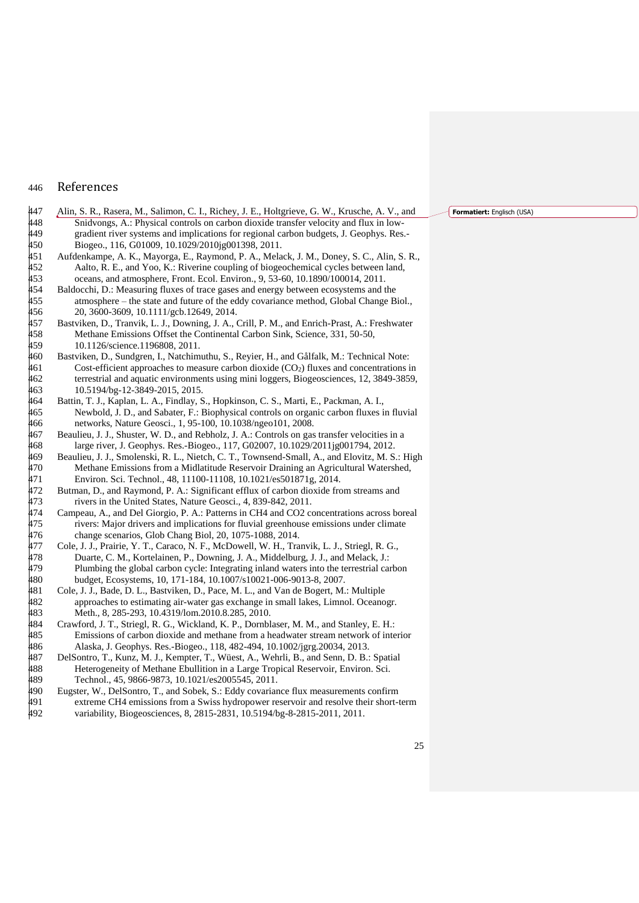#### 446 References

- <span id="page-27-5"></span>447 Alin, S. R., Rasera, M., Salimon, C. I., Richey, J. E., Holtgrieve, G. W., Krusche, A. V., and 448 Snidvongs, A.: Physical controls on carbon dioxide transfer velocity and flux in low-449 gradient river systems and implications for regional carbon budgets, J. Geophys. Res.-<br>450 Biogeo., 116, G01009, 10.1029/2010jg001398, 2011. 450 Biogeo., 116, G01009, 10.1029/2010jg001398, 2011.<br>451 Aufdenkampe. A. K.. Mavorga. E.. Ravmond. P. A.. Mela
- <span id="page-27-0"></span>451 Aufdenkampe, A. K., Mayorga, E., Raymond, P. A., Melack, J. M., Doney, S. C., Alin, S. R., 452 Aalto, R. E., and Yoo, K.: Riverine coupling of biogeochemical cycles between land,<br>453 oceans. and atmosphere. Front. Ecol. Environ. 9. 53-60. 10.1890/100014. 2011. 453 oceans, and atmosphere, Front. Ecol. Environ., 9, 53-60, 10.1890/100014, 2011.<br>454 Baldocchi, D.: Measuring fluxes of trace gases and energy between ecosystems and t
- <span id="page-27-7"></span>Baldocchi, D.: Measuring fluxes of trace gases and energy between ecosystems and the 455 atmosphere – the state and future of the eddy covariance method, Global Change Biol.,<br>456 20, 3600-3609, 10.1111/gcb.12649, 2014. 456 20, 3600-3609, 10.1111/gcb.12649, 2014.<br>457 Bastviken, D., Tranvik, L. J., Downing, J. A.,
- <span id="page-27-3"></span>457 Bastviken, D., Tranvik, L. J., Downing, J. A., Crill, P. M., and Enrich-Prast, A.: Freshwater Methane Emissions Offset the Continental Carbon Sink, Science, 331, 50-50, 459 10.1126/science.1196808, 2011.<br>460 Bastviken, D., Sundgren, I., Natchim
- <span id="page-27-8"></span>Bastviken, D., Sundgren, I., Natchimuthu, S., Reyier, H., and Gålfalk, M.: Technical Note:  $461$  Cost-efficient approaches to measure carbon dioxide (CO<sub>2</sub>) fluxes and concentrations in 462 terrestrial and aquatic environments using mini loggers, Biogeosciences, 12, 3849-3859, 463 10.5194/bg-12-3849-2015, 2015.
- <span id="page-27-1"></span>464 Battin, T. J., Kaplan, L. A., Findlay, S., Hopkinson, C. S., Marti, E., Packman, A. I., 465 Newbold, J. D., and Sabater, F.: Biophysical controls on organic carbon fluxes in fluvial 466 networks, Nature Geosci., 1, 95-100, 10.1038/ngeo101, 2008.
- <span id="page-27-6"></span>467 Beaulieu, J. J., Shuster, W. D., and Rebholz, J. A.: Controls on gas transfer velocities in a 468 large river, J. Geophys. Res.-Biogeo., 117, G02007, 10.1029/2011jg001794, 2012.
- <span id="page-27-9"></span>469 Beaulieu, J. J., Smolenski, R. L., Nietch, C. T., Townsend-Small, A., and Elovitz, M. S.: High<br>470 Methane Emissions from a Midlatitude Reservoir Draining an Agricultural Watershed. 470 Methane Emissions from a Midlatitude Reservoir Draining an Agricultural Watershed,<br>471 Environ, Sci. Technol., 48, 11100-11108, 10.1021/es501871g, 2014. 471 Environ. Sci. Technol., 48, 11100-11108, 10.1021/es501871g, 2014.
- <span id="page-27-4"></span>472 Butman, D., and Raymond, P. A.: Significant efflux of carbon dioxide from streams and 473 rivers in the United States, Nature Geosci., 4, 839-842, 2011.<br>474 Campeau, A., and Del Giorgio, P. A.: Patterns in CH4 and CO2 co
- <span id="page-27-14"></span>474 Campeau, A., and Del Giorgio, P. A.: Patterns in CH4 and CO2 concentrations across boreal<br>475 vers: Maior drivers and implications for fluvial greenhouse emissions under climate 475 rivers: Major drivers and implications for fluvial greenhouse emissions under climate<br>476 change scenarios, Glob Chang Biol, 20, 1075-1088, 2014. 476 change scenarios, Glob Chang Biol, 20, 1075-1088, 2014.<br>477 Cole, J. J., Prairie, Y. T., Caraco, N. F., McDowell, W. H., Tra
- <span id="page-27-2"></span>477 Cole, J. J., Prairie, Y. T., Caraco, N. F., McDowell, W. H., Tranvik, L. J., Striegl, R. G., 478 Duarte, C. M., Kortelainen, P., Downing, J. A., Middelburg, J. J., and Melack, J.: Duarte, C. M., Kortelainen, P., Downing, J. A., Middelburg, J. J., and Melack, J.: 479 Plumbing the global carbon cycle: Integrating inland waters into the terrestrial carbon<br>480 budget, Ecosystems, 10, 171-184, 10.1007/s10021-006-9013-8, 2007. 480 budget, Ecosystems, 10, 171-184, 10.1007/s10021-006-9013-8, 2007.
- <span id="page-27-12"></span>481 Cole, J. J., Bade, D. L., Bastviken, D., Pace, M. L., and Van de Bogert, M.: Multiple 482 approaches to estimating air-water gas exchange in small lakes, Limnol. Oceanogr. 483 Meth., 8, 285-293, 10.4319/lom.2010.8.285, 2010.
- <span id="page-27-13"></span>484 Crawford, J. T., Striegl, R. G., Wickland, K. P., Dornblaser, M. M., and Stanley, E. H.: 485 Emissions of carbon dioxide and methane from a headwater stream network of interior 486 Alaska, J. Geophys. Res.-Biogeo., 118, 482-494, 10.1002/jgrg.20034, 2013.<br>487 DelSontro, T., Kunz, M. J., Kempter, T., Wüest, A., Wehrli, B., and Senn, D. B.
- <span id="page-27-10"></span>DelSontro, T., Kunz, M. J., Kempter, T., Wüest, A., Wehrli, B., and Senn, D. B.: Spatial 488 Heterogeneity of Methane Ebullition in a Large Tropical Reservoir, Environ. Sci. 489 Technol., 45, 9866-9873, 10.1021/es2005545, 2011.
- <span id="page-27-11"></span>490 Eugster, W., DelSontro, T., and Sobek, S.: Eddy covariance flux measurements confirm 491 extreme CH4 emissions from a Swiss hydropower reservoir and resolve their short-term 492 variability, Biogeosciences, 8, 2815-2831, 10.5194/bg-8-2815-2011, 2011.

**Formatiert:** Englisch (USA)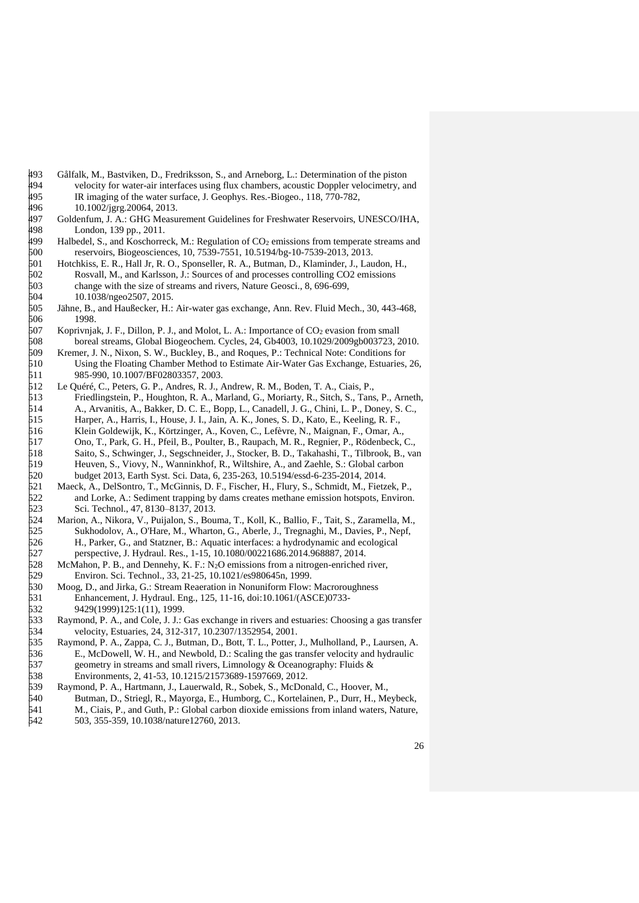<span id="page-28-11"></span><span id="page-28-10"></span><span id="page-28-7"></span><span id="page-28-6"></span><span id="page-28-3"></span><span id="page-28-2"></span><span id="page-28-1"></span>496 10.1002/jgrg.20064, 2013.<br>497 Goldenfum. J. A.: GHG Measu 497 Goldenfum, J. A.: GHG Measurement Guidelines for Freshwater Reservoirs, UNESCO/IHA,<br>498 London, 139 pp., 2011. 498 London, 139 pp., 2011.<br>499 Halbedel, S., and Koschorre 499 Halbedel, S., and Koschorreck, M.: Regulation of  $CO_2$  emissions from temperate streams and reservoirs, Biogeosciences, 10, 7539-7551, 10.5194/bg-10-7539-2013, 2013. 500 reservoirs, Biogeosciences, 10, 7539-7551, 10.5194/bg-10-7539-2013, 2013. 501 Hotchkiss, E. R., Hall Jr, R. O., Sponseller, R. A., Butman, D., Klaminder, J., Laudon, H., 502 Rosvall, M., and Karlsson, J.: Sources of and processes controlling CO2 emissions 502 Rosvall, M., and Karlsson, J.: Sources of and processes controlling CO2 emissions 503 change with the size of streams and rivers, Nature Geosci., 8, 696-699, 504 10.1038/ngeo2507. 2015. 504 10.1038/ngeo2507, 2015. 505 Jähne, B., and Haußecker, H.: Air-water gas exchange, Ann. Rev. Fluid Mech., 30, 443-468, 506 1998.<br>507 Koprivnja 507 Koprivnjak, J. F., Dillon, P. J., and Molot, L. A.: Importance of CO<sub>2</sub> evasion from small<br>508 boreal streams. Global Biogeochem. Cycles. 24. Gb4003. 10.1029/2009gb003723. 508 boreal streams, Global Biogeochem. Cycles, 24, Gb4003, 10.1029/2009gb003723, 2010. 509 Kremer, J. N., Nixon, S. W., Buckley, B., and Roques, P.: Technical Note: Conditions for 510 Using the Floating Chamber Method to Estimate Air-Water Gas Exchange, Estuaries, 26, 511 985-990, 10.1007/BF02803357, 2003. 512 Le Quéré, C., Peters, G. P., Andres, R. J., Andrew, R. M., Boden, T. A., Ciais, P., 513 Friedlingstein, P., Houghton, R. A., Marland, G., Moriarty, R., Sitch, S., Tans, P., Arneth, 514 A., Arvanitis, A., Bakker, D. C. E., Bopp, L., Canadell, J. G., Chini, L. P., Doney, S. C., 514 A., Arvanitis, A., Bakker, D. C. E., Bopp, L., Canadell, J. G., Chini, L. P., Doney, S. C., 515 Harper, A., Harris, I., House, J. I., Jain, A. K., Jones, S. D., Kato, E., Keeling, R. F., 515 Harper, A., Harris, I., House, J. I., Jain, A. K., Jones, S. D., Kato, E., Keeling, R. F., 516 Klein Goldewiik. K.. Körtzinger. A.. Koven. C.. Lefèvre. N.. Maignan. F.. Omar. A. 516 Klein Goldewijk, K., Körtzinger, A., Koven, C., Lefèvre, N., Maignan, F., Omar, A., 517 Ono, T., Park, G. H., Pfeil, B., Poulter, B., Raupach, M. R., Regnier, P., Rödenbeck, C., 518 Saito, S., Schwinger, J., Segschneider, J., Stocker, B. D., Takahashi, T., Tilbrook, B., va 518 Saito, S., Schwinger, J., Segschneider, J., Stocker, B. D., Takahashi, T., Tilbrook, B., van<br>519 Heuven, S., Viovy, N., Wanninkhof, R., Wiltshire, A., and Zaehle, S.: Global carbon 519 Heuven, S., Viovy, N., Wanninkhof, R., Wiltshire, A., and Zaehle, S.: Global carbon 520 budget 2013, Earth Syst. Sci. Data, 6, 235-263, 10.5194/essd-6-235-2014, 2014. 521 Maeck, A., DelSontro, T., McGinnis, D. F., Fischer, H., Flury, S., Schmidt, M., Fietzek, P., and Lorke, A.: Sediment trapping by dams creates methane emission hotspots, Environ and Lorke, A.: Sediment trapping by dams creates methane emission hotspots, Environ. 523 Sci. Technol., 47, 8130–8137, 2013. 524 Marion, A., Nikora, V., Puijalon, S., Bouma, T., Koll, K., Ballio, F., Tait, S., Zaramella, M., 525 Sukhodolov, A., O'Hare, M., Wharton, G., Aberle, J., Tregnaghi, M., Davies, P., Nepf, 526 H., Parker, G., and Statzner, B.: Aquatic interfaces: a hydrodynamic and ecological H., Parker, G., and Statzner, B.: Aquatic interfaces: a hydrodynamic and ecological 527 perspective, J. Hydraul. Res., 1-15, 10.1080/00221686.2014.968887, 2014.  $528$  McMahon, P. B., and Dennehy, K. F.: N<sub>2</sub>O emissions from a nitrogen-enriched river, 529 Environ. Sci. Technol., 33, 21-25, 10.1021/es980645n, 1999. 530 Moog, D., and Jirka, G.: Stream Reaeration in Nonuniform Flow: Macroroughness 531 Enhancement, J. Hydraul. Eng., 125, 11-16, doi:10.1061/(ASCE)0733-<br>532 9429(1999)125:1(11), 1999. 532 9429(1999)125:1(11), 1999.<br>533 Raymond, P. A., and Cole, J. J.: Raymond, P. A., and Cole, J. J.: Gas exchange in rivers and estuaries: Choosing a gas transfer velocity, Estuaries, 24, 312-317, 10.2307/1352954, 2001.<br>535 Ravmond, P. A., Zappa, C. J., Butman, D., Bott, T. L., Potter, 535 Raymond, P. A., Zappa, C. J., Butman, D., Bott, T. L., Potter, J., Mulholland, P., Laursen, A. 536 E., McDowell, W. H., and Newbold, D.: Scaling the gas transfer velocity and hydraulic 537 geometry in streams and small rivers, Limnology & Oceanography: Fluids & 538 Environments, 2, 41-53, 10.1215/21573689-1597669, 2012.

<span id="page-28-9"></span>493 Gålfalk, M., Bastviken, D., Fredriksson, S., and Arneborg, L.: Determination of the piston velocity for water-air interfaces using flux chambers, acoustic Doppler velocimetry, and Arne 494 velocity for water-air interfaces using flux chambers, acoustic Doppler velocimetry, and<br>495 R imaging of the water surface. J. Geophys. Res.-Biogeo.. 118, 770-782.

495 IR imaging of the water surface, J. Geophys. Res.-Biogeo., 118, 770-782,  $\frac{496}{10.1002 \cdot \text{Jgrg.} 20064, 2013.}$ 

- <span id="page-28-14"></span><span id="page-28-13"></span><span id="page-28-12"></span><span id="page-28-8"></span><span id="page-28-5"></span><span id="page-28-4"></span><span id="page-28-0"></span>539 Raymond, P. A., Hartmann, J., Lauerwald, R., Sobek, S., McDonald, C., Hoover, M., 540 Butman, D., Striegl, R., Mayorga, E., Humborg, C., Kortelainen, P., Durr, H., Me<br>541 M., Ciais, P., and Guth, P.: Global carbon diox 540 Butman, D., Striegl, R., Mayorga, E., Humborg, C., Kortelainen, P., Durr, H., Meybeck, 541 M., Ciais, P., and Guth, P.: Global carbon dioxide emissions from inland waters, Nature, 503, 355-359, 10.1038/nature12760, 2013.
	- 503, 355-359, 10.1038/nature12760, 2013.